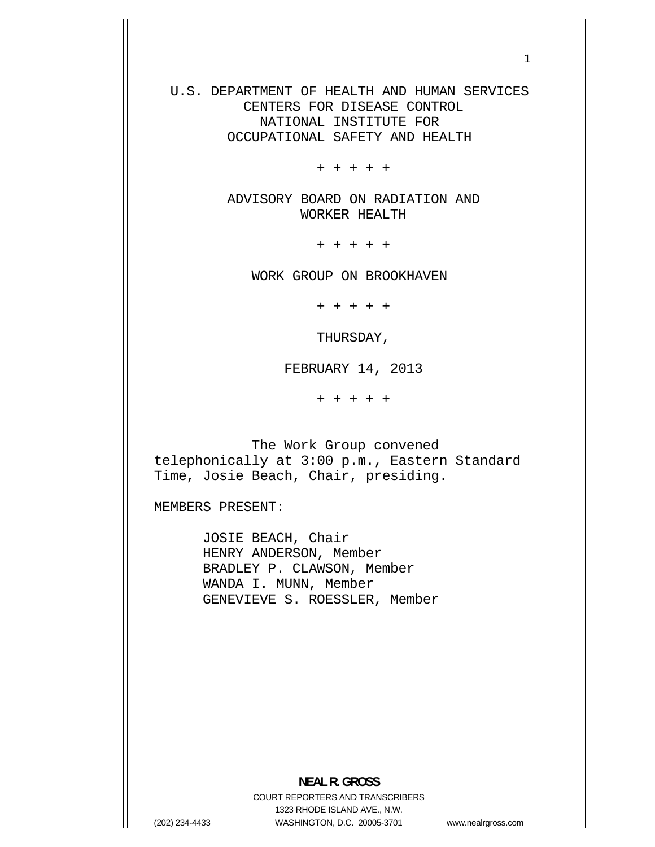U.S. DEPARTMENT OF HEALTH AND HUMAN SERVICES CENTERS FOR DISEASE CONTROL NATIONAL INSTITUTE FOR OCCUPATIONAL SAFETY AND HEALTH

+ + + + +

ADVISORY BOARD ON RADIATION AND WORKER HEALTH

+ + + + +

WORK GROUP ON BROOKHAVEN

+ + + + +

THURSDAY,

FEBRUARY 14, 2013

+ + + + +

The Work Group convened telephonically at 3:00 p.m., Eastern Standard Time, Josie Beach, Chair, presiding.

MEMBERS PRESENT:

JOSIE BEACH, Chair HENRY ANDERSON, Member BRADLEY P. CLAWSON, Member WANDA I. MUNN, Member GENEVIEVE S. ROESSLER, Member

**NEAL R. GROSS**  COURT REPORTERS AND TRANSCRIBERS 1323 RHODE ISLAND AVE., N.W. (202) 234-4433 WASHINGTON, D.C. 20005-3701 www.nealrgross.com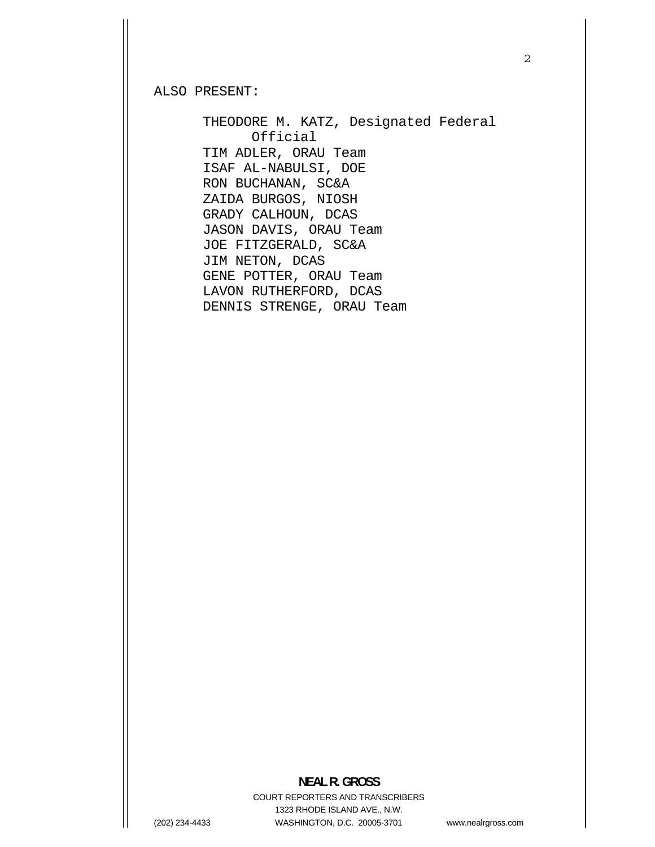ALSO PRESENT:

THEODORE M. KATZ, Designated Federal Official TIM ADLER, ORAU Team ISAF AL-NABULSI, DOE RON BUCHANAN, SC&A ZAIDA BURGOS, NIOSH GRADY CALHOUN, DCAS JASON DAVIS, ORAU Team JOE FITZGERALD, SC&A JIM NETON, DCAS GENE POTTER, ORAU Team LAVON RUTHERFORD, DCAS DENNIS STRENGE, ORAU Team

# **NEAL R. GROSS**

COURT REPORTERS AND TRANSCRIBERS 1323 RHODE ISLAND AVE., N.W. (202) 234-4433 WASHINGTON, D.C. 20005-3701 www.nealrgross.com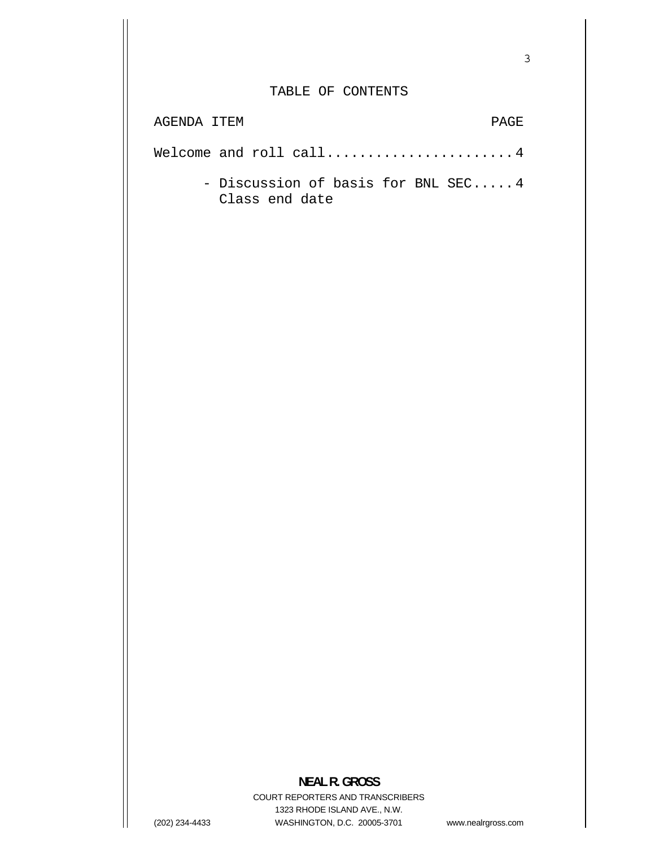# TABLE OF CONTENTS

| AGENDA ITEM                                           | PAGE. |
|-------------------------------------------------------|-------|
| Welcome and roll call $4$                             |       |
| - Discussion of basis for BNL SEC 4<br>Class end date |       |

## **NEAL R. GROSS**

COURT REPORTERS AND TRANSCRIBERS 1323 RHODE ISLAND AVE., N.W. (202) 234-4433 WASHINGTON, D.C. 20005-3701

www.nealrgross.com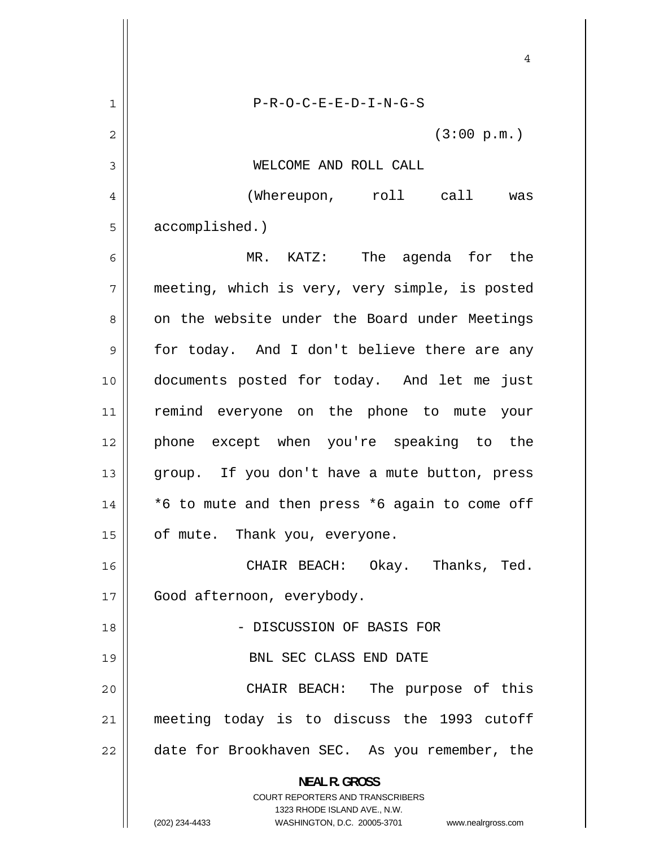<span id="page-3-0"></span>

|    | 4                                                                                                                                                                      |
|----|------------------------------------------------------------------------------------------------------------------------------------------------------------------------|
| 1  | $P-R-O-C-E-E-D-I-N-G-S$                                                                                                                                                |
| 2  | (3:00 p.m.)                                                                                                                                                            |
| 3  | WELCOME AND ROLL CALL                                                                                                                                                  |
| 4  | (Whereupon, roll call<br>was                                                                                                                                           |
| 5  | accomplished.)                                                                                                                                                         |
| 6  | The agenda for the<br>MR. KATZ:                                                                                                                                        |
| 7  | meeting, which is very, very simple, is posted                                                                                                                         |
| 8  | on the website under the Board under Meetings                                                                                                                          |
| 9  | for today. And I don't believe there are any                                                                                                                           |
| 10 | documents posted for today. And let me just                                                                                                                            |
| 11 | remind everyone on the phone to mute your                                                                                                                              |
| 12 | phone except when you're speaking to the                                                                                                                               |
| 13 | group. If you don't have a mute button, press                                                                                                                          |
| 14 | *6 to mute and then press *6 again to come off                                                                                                                         |
| 15 | of mute. Thank you, everyone.                                                                                                                                          |
| 16 | CHAIR BEACH: Okay. Thanks, Ted.                                                                                                                                        |
| 17 | Good afternoon, everybody.                                                                                                                                             |
| 18 | - DISCUSSION OF BASIS FOR                                                                                                                                              |
| 19 | BNL SEC CLASS END DATE                                                                                                                                                 |
| 20 | CHAIR BEACH: The purpose of this                                                                                                                                       |
| 21 | meeting today is to discuss the 1993 cutoff                                                                                                                            |
| 22 | date for Brookhaven SEC. As you remember, the                                                                                                                          |
|    | <b>NEAL R. GROSS</b><br><b>COURT REPORTERS AND TRANSCRIBERS</b><br>1323 RHODE ISLAND AVE., N.W.<br>(202) 234-4433<br>WASHINGTON, D.C. 20005-3701<br>www.nealrgross.com |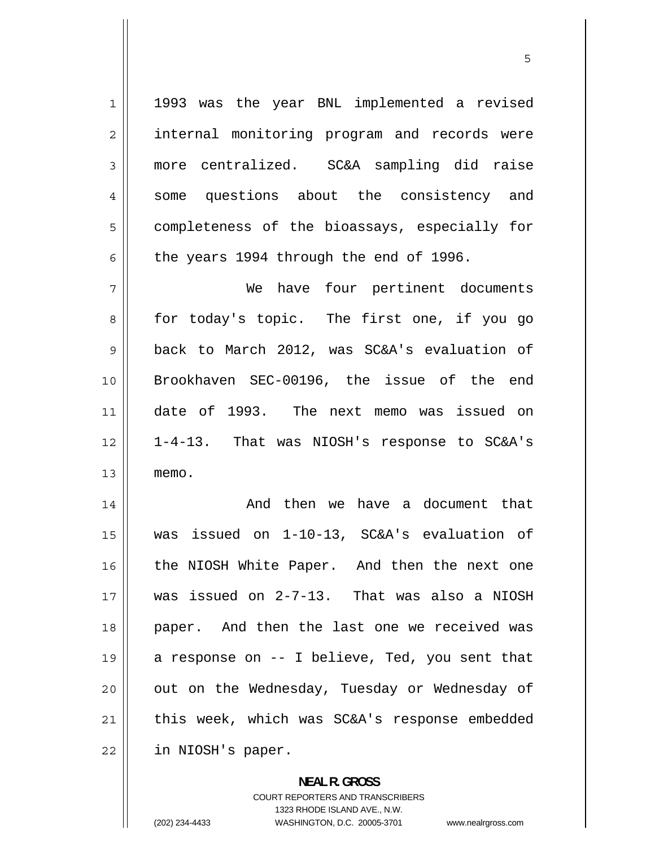<span id="page-4-0"></span>

| $\mathbf 1$ | 1993 was the year BNL implemented a revised    |
|-------------|------------------------------------------------|
| 2           | internal monitoring program and records were   |
| 3           | more centralized. SC&A sampling did raise      |
| 4           | some questions about the consistency and       |
| 5           | completeness of the bioassays, especially for  |
| 6           | the years 1994 through the end of 1996.        |
| 7           | We have four pertinent documents               |
| 8           | for today's topic. The first one, if you go    |
| 9           | back to March 2012, was SC&A's evaluation of   |
| 10          | Brookhaven SEC-00196, the issue of the end     |
| 11          | date of 1993. The next memo was issued on      |
| 12          | 1-4-13. That was NIOSH's response to SC&A's    |
| 13          | memo.                                          |
| 14          | And then we have a document that               |
| 15          | was issued on 1-10-13, SC&A's evaluation of    |
| 16          | the NIOSH White Paper. And then the next one   |
| 17          | was issued on 2-7-13. That was also a NIOSH    |
| 18          | paper. And then the last one we received was   |
| 19          | a response on -- I believe, Ted, you sent that |
| 20          | out on the Wednesday, Tuesday or Wednesday of  |
| 21          | this week, which was SC&A's response embedded  |
| 22          | in NIOSH's paper.                              |

**NEAL R. GROSS**  COURT REPORTERS AND TRANSCRIBERS

1323 RHODE ISLAND AVE., N.W.

(202) 234-4433 WASHINGTON, D.C. 20005-3701 www.nealrgross.com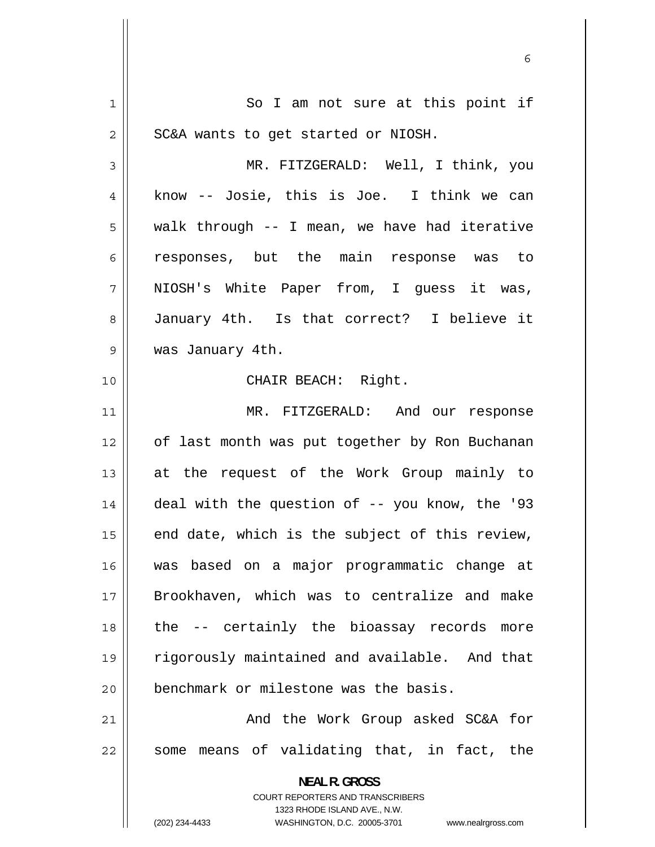<span id="page-5-0"></span>

| 1  | So I am not sure at this point if                                       |
|----|-------------------------------------------------------------------------|
| 2  | SC&A wants to get started or NIOSH.                                     |
| 3  | MR. FITZGERALD: Well, I think, you                                      |
| 4  | know -- Josie, this is Joe. I think we can                              |
| 5  | walk through -- I mean, we have had iterative                           |
| 6  | responses, but the main response was to                                 |
| 7  | NIOSH's White Paper from, I guess it was,                               |
| 8  | January 4th. Is that correct? I believe it                              |
| 9  | was January 4th.                                                        |
| 10 | CHAIR BEACH: Right.                                                     |
| 11 | MR. FITZGERALD: And our response                                        |
| 12 | of last month was put together by Ron Buchanan                          |
| 13 | at the request of the Work Group mainly to                              |
| 14 | deal with the question of -- you know, the '93                          |
| 15 | end date, which is the subject of this review,                          |
| 16 | was based on a major programmatic change at                             |
| 17 | Brookhaven, which was to centralize and make                            |
| 18 | the -- certainly the bioassay records<br>more                           |
|    |                                                                         |
| 19 | rigorously maintained and available. And that                           |
| 20 | benchmark or milestone was the basis.                                   |
| 21 | And the Work Group asked SC&A for                                       |
| 22 | some means of validating that, in fact, the                             |
|    | <b>NEAL R. GROSS</b>                                                    |
|    | <b>COURT REPORTERS AND TRANSCRIBERS</b><br>1323 RHODE ISLAND AVE., N.W. |
|    | (202) 234-4433<br>WASHINGTON, D.C. 20005-3701<br>www.nealrgross.com     |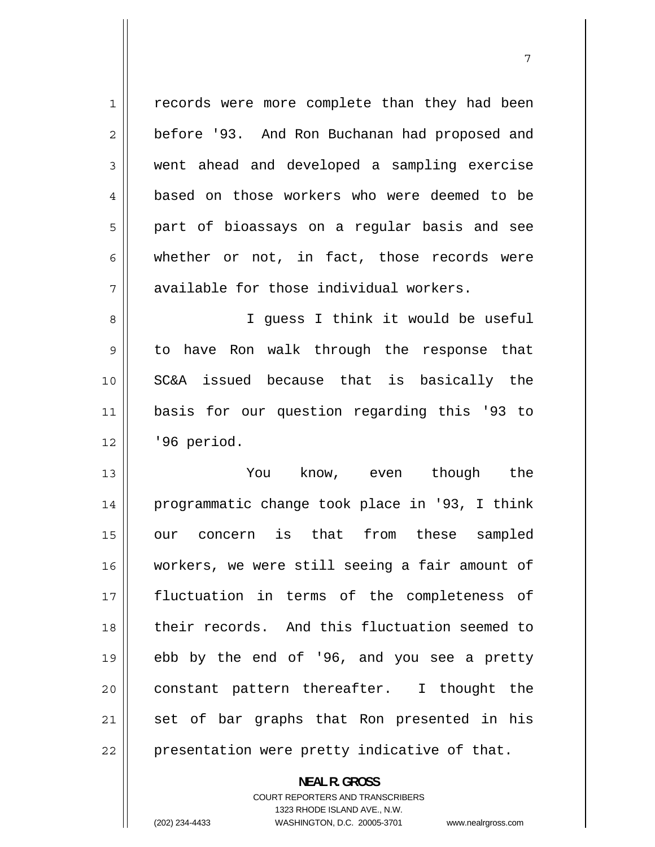<span id="page-6-0"></span>1 records were more complete than they had been 2 before '93. And Ron Buchanan had proposed and 3 went ahead and developed a sampling exercise 4 based on those workers who were deemed to be 5 part of bioassays on a regular basis and see 6 whether or not, in fact, those records were 7 available for those individual workers. 8 I guess I think it would be useful 9 to have Ron walk through the response that 10 SC&A issued because that is basically the 11 basis for our question regarding this '93 to 12 '96 period. 13 You know, even though the 14 programmatic change took place in '93, I think 15 our concern is that from these sampled 16 workers, we were still seeing a fair amount of 17 fluctuation in terms of the completeness of 18 their records. And this fluctuation seemed to 19 ebb by the end of '96, and you see a pretty 20 constant pattern thereafter. I thought the 21 set of bar graphs that Ron presented in his  $22$  | presentation were pretty indicative of that.

> **NEAL R. GROSS**  COURT REPORTERS AND TRANSCRIBERS 1323 RHODE ISLAND AVE., N.W.

(202) 234-4433 WASHINGTON, D.C. 20005-3701 www.nealrgross.com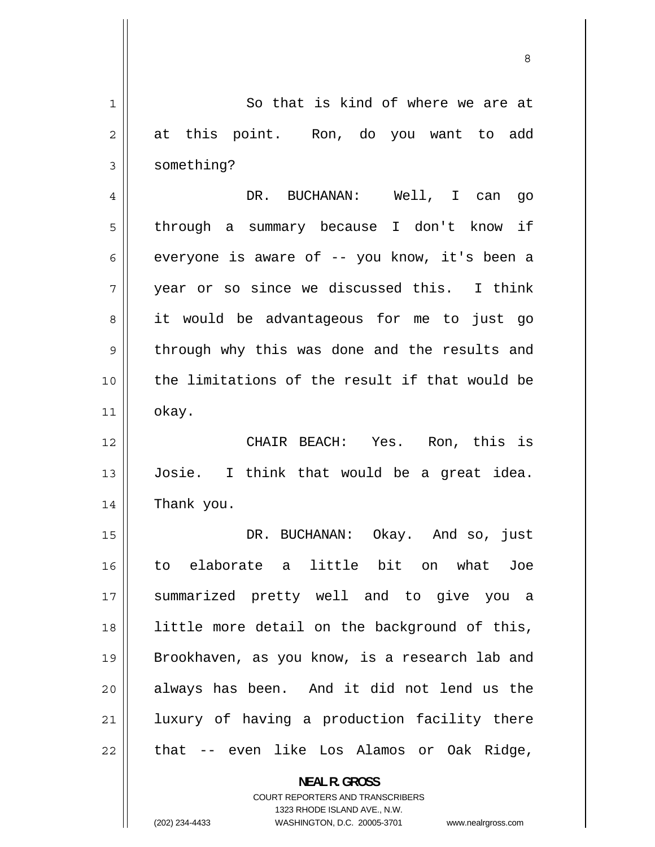<span id="page-7-0"></span>1 So that is kind of where we are at 2 at this point. Ron, do you want to add 3 something? 4 DR. BUCHANAN: Well, I can go 5 through a summary because I don't know if 6 everyone is aware of -- you know, it's been a 7 year or so since we discussed this. I think 8 it would be advantageous for me to just go 9 through why this was done and the results and 10 the limitations of the result if that would be  $11$  okay. 12 CHAIR BEACH: Yes. Ron, this is 13 Josie. I think that would be a great idea. 14 Thank you. 15 DR. BUCHANAN: Okay. And so, just 16 to elaborate a little bit on what Joe 17 summarized pretty well and to give you a 18 little more detail on the background of this, 19 Brookhaven, as you know, is a research lab and 20 always has been. And it did not lend us the 21 luxury of having a production facility there 22 that -- even like Los Alamos or Oak Ridge,

> **NEAL R. GROSS**  COURT REPORTERS AND TRANSCRIBERS 1323 RHODE ISLAND AVE., N.W.

(202) 234-4433 WASHINGTON, D.C. 20005-3701 www.nealrgross.com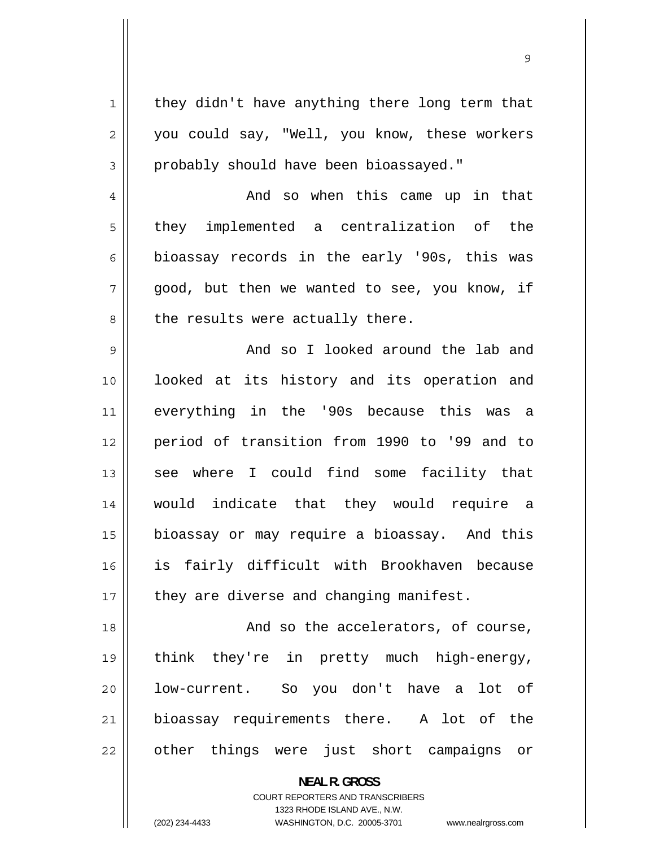<span id="page-8-0"></span>

| $\mathbf{1}$ | they didn't have anything there long term that |
|--------------|------------------------------------------------|
| 2            | you could say, "Well, you know, these workers  |
| 3            | probably should have been bioassayed."         |
| 4            | And so when this came up in that               |
| 5            | they implemented a centralization of the       |
| 6            | bioassay records in the early '90s, this was   |
| 7            | good, but then we wanted to see, you know, if  |
| 8            | the results were actually there.               |
| $\mathsf 9$  | And so I looked around the lab and             |
| 10           | looked at its history and its operation and    |
| 11           | everything in the '90s because this was a      |
| 12           | period of transition from 1990 to '99 and to   |
| 13           | see where I could find some facility that      |
| 14           | would indicate that they would require a       |
| 15           | bioassay or may require a bioassay. And this   |
| 16           | is fairly difficult with Brookhaven because    |
| 17           | they are diverse and changing manifest.        |
| 18           | And so the accelerators, of course,            |
| 19           | think they're in pretty much high-energy,      |
| 20           | low-current. So you don't have a lot of        |
| 21           | bioassay requirements there. A lot of the      |
| 22           | other things were just short campaigns or      |
|              | <b>NEAL R. GROSS</b>                           |

COURT REPORTERS AND TRANSCRIBERS 1323 RHODE ISLAND AVE., N.W.

 $\mathsf{II}$ 

(202) 234-4433 WASHINGTON, D.C. 20005-3701 www.nealrgross.com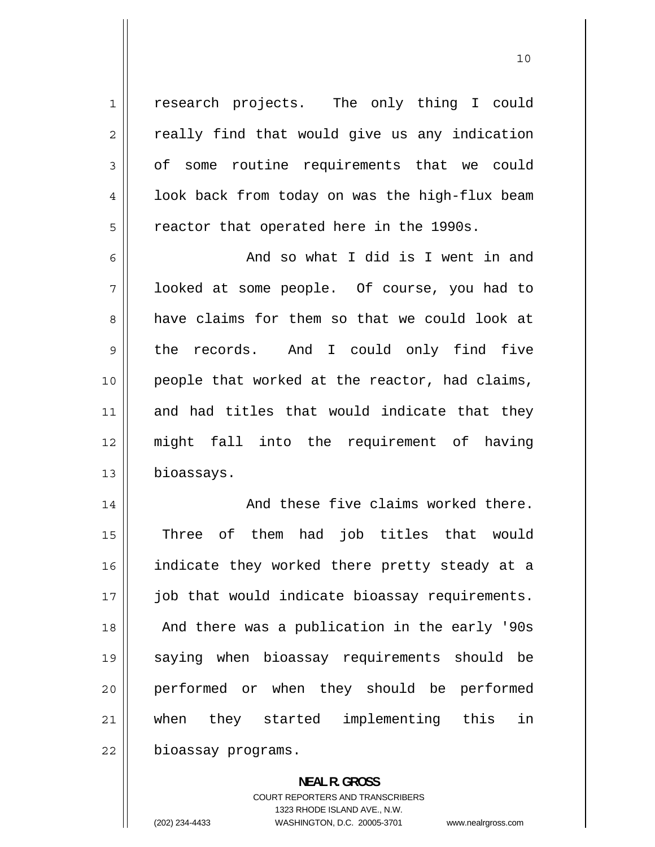research projects. The only thing I could really find that would give us any indication of some routine requirements that we could look back from today on was the high-flux beam reactor that operated here in the 1990s.

<span id="page-9-0"></span>1

2

3

4

5

10

6 And so what I did is I went in and 7 looked at some people. Of course, you had to 8 have claims for them so that we could look at 9 the records. And I could only find five 10 people that worked at the reactor, had claims, 11 and had titles that would indicate that they 12 might fall into the requirement of having 13 bioassays.

14 And these five claims worked there. 15 Three of them had job titles that would 16 indicate they worked there pretty steady at a 17 job that would indicate bioassay requirements. 18 And there was a publication in the early '90s 19 saying when bioassay requirements should be 20 performed or when they should be performed 21 when they started implementing this in 22 | bioassay programs.

### **NEAL R. GROSS**  COURT REPORTERS AND TRANSCRIBERS 1323 RHODE ISLAND AVE., N.W. (202) 234-4433 WASHINGTON, D.C. 20005-3701 www.nealrgross.com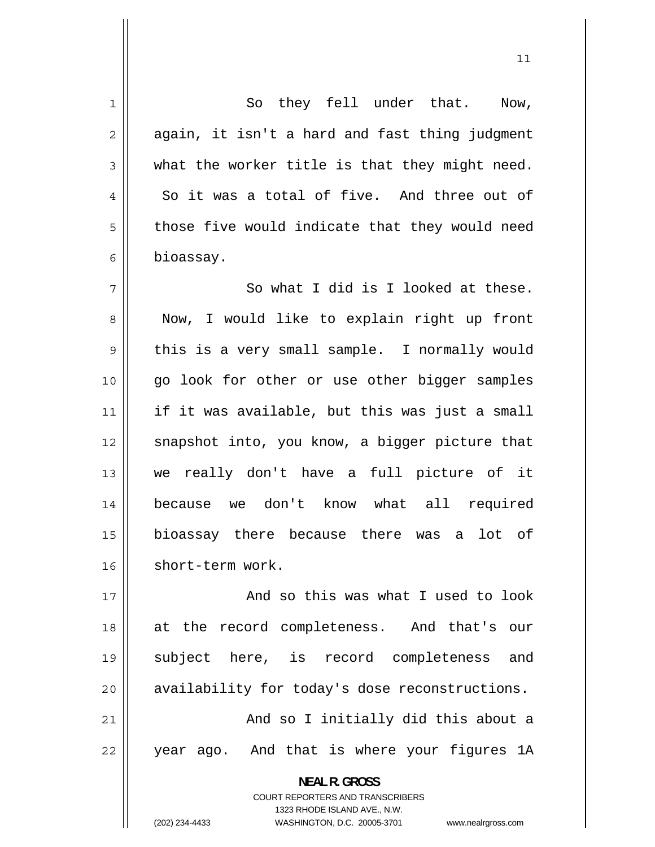<span id="page-10-0"></span>1 So they fell under that. Now, 2 again, it isn't a hard and fast thing judgment 3 what the worker title is that they might need. 4 So it was a total of five. And three out of 5 those five would indicate that they would need 6 bioassay. 7 So what I did is I looked at these. 8 Now, I would like to explain right up front 9 this is a very small sample. I normally would 10 go look for other or use other bigger samples 11 if it was available, but this was just a small 12 snapshot into, you know, a bigger picture that 13 we really don't have a full picture of it 14 because we don't know what all required 15 bioassay there because there was a lot of 16 | short-term work. 17 And so this was what I used to look 18 at the record completeness. And that's our 19 subject here, is record completeness and 20 availability for today's dose reconstructions. 21 And so I initially did this about a 22 year ago. And that is where your figures 1A **NEAL R. GROSS**  COURT REPORTERS AND TRANSCRIBERS

1323 RHODE ISLAND AVE., N.W.

(202) 234-4433 WASHINGTON, D.C. 20005-3701 www.nealrgross.com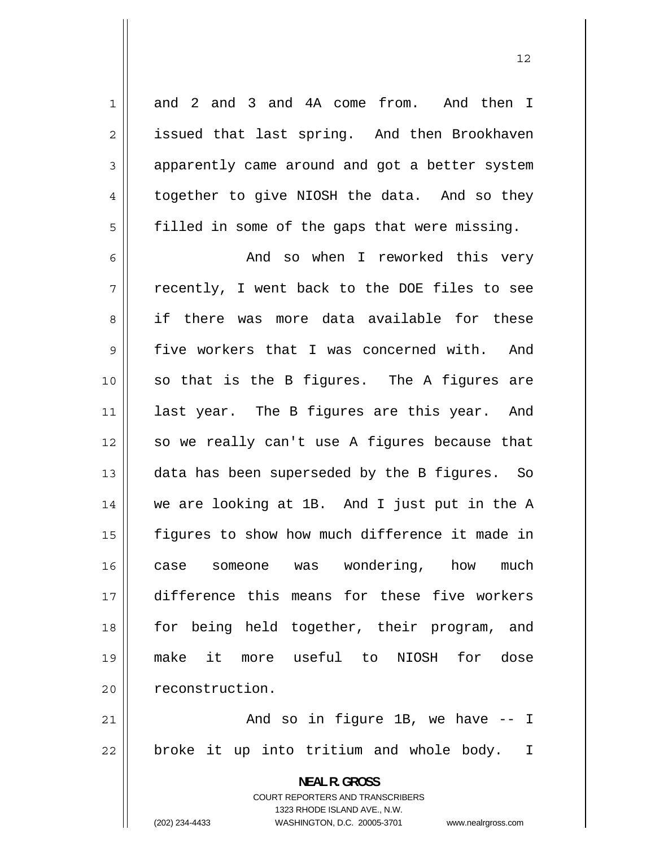and 2 and 3 and 4A come from. And then I issued that last spring. And then Brookhaven apparently came around and got a better system together to give NIOSH the data. And so they filled in some of the gaps that were missing.

<span id="page-11-0"></span>1

2

3

4

5

6 And so when I reworked this very 7 recently, I went back to the DOE files to see 8 if there was more data available for these 9 five workers that I was concerned with. And 10 so that is the B figures. The A figures are 11 last year. The B figures are this year. And 12 so we really can't use A figures because that 13 data has been superseded by the B figures. So 14 we are looking at 1B. And I just put in the A 15 figures to show how much difference it made in 16 case someone was wondering, how much 17 difference this means for these five workers 18 for being held together, their program, and 19 make it more useful to NIOSH for dose 20 reconstruction.

21 And so in figure 1B, we have -- I 22 broke it up into tritium and whole body. I

> **NEAL R. GROSS**  COURT REPORTERS AND TRANSCRIBERS 1323 RHODE ISLAND AVE., N.W.

(202) 234-4433 WASHINGTON, D.C. 20005-3701 www.nealrgross.com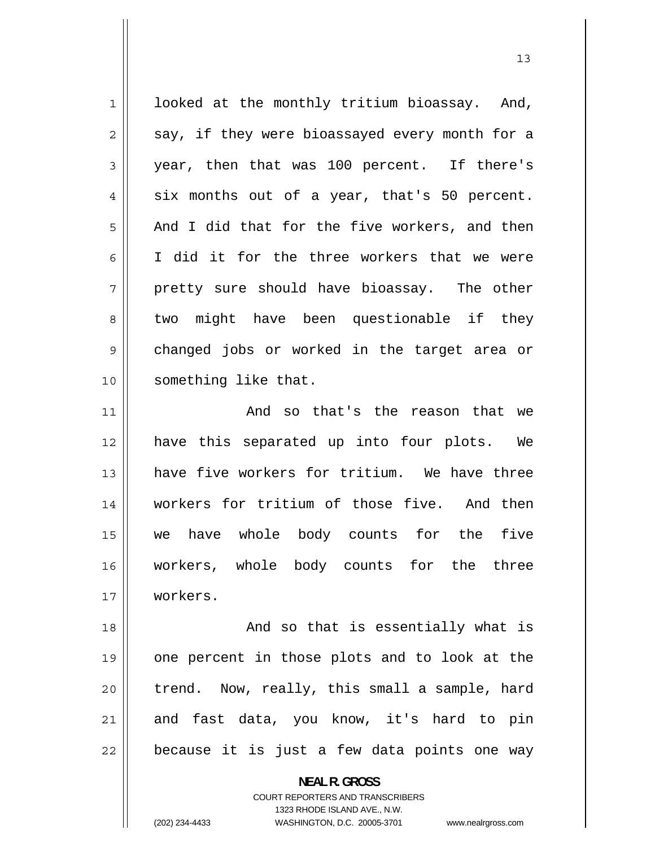<span id="page-12-0"></span>1 looked at the monthly tritium bioassay. And, 2 say, if they were bioassayed every month for a 3 year, then that was 100 percent. If there's 4 six months out of a year, that's 50 percent. 5 And I did that for the five workers, and then 6 I did it for the three workers that we were 7 pretty sure should have bioassay. The other 8 two might have been questionable if they 9 changed jobs or worked in the target area or 10 || something like that. 11 And so that's the reason that we 12 have this separated up into four plots. We 13 have five workers for tritium. We have three 14 workers for tritium of those five. And then 15 we have whole body counts for the five 16 workers, whole body counts for the three 17 workers. 18 And so that is essentially what is 19 one percent in those plots and to look at the 20 trend. Now, really, this small a sample, hard

22 because it is just a few data points one way

21

**NEAL R. GROSS**  COURT REPORTERS AND TRANSCRIBERS

1323 RHODE ISLAND AVE., N.W.

and fast data, you know, it's hard to pin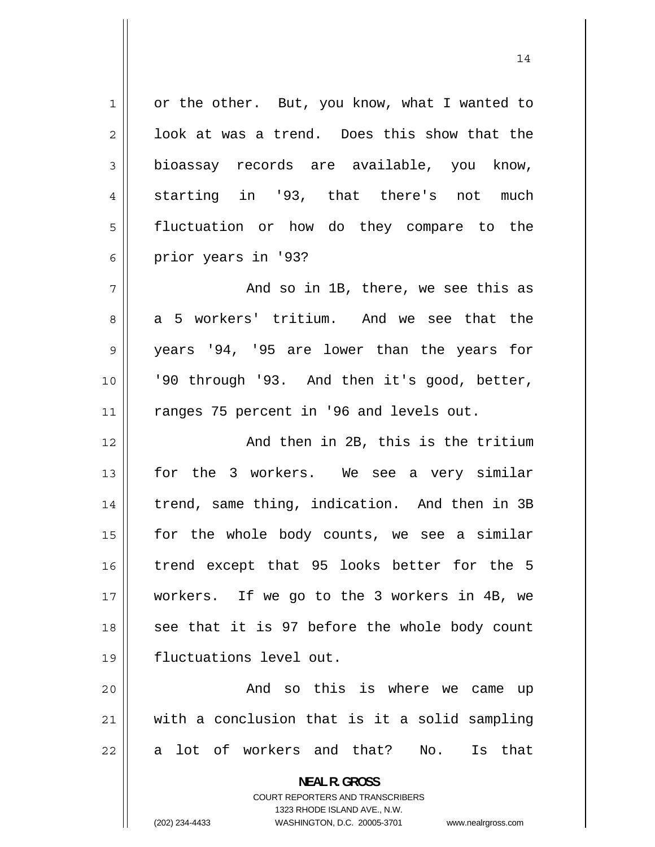<span id="page-13-0"></span>1 or the other. But, you know, what I wanted to 2 look at was a trend. Does this show that the 3 bioassay records are available, you know, 4 starting in '93, that there's not much 5 fluctuation or how do they compare to the 6 prior years in '93? 7 And so in 1B, there, we see this as 8 a 5 workers' tritium. And we see that the 9 years '94, '95 are lower than the years for 10 '90 through '93. And then it's good, better, 11 || ranges 75 percent in '96 and levels out. 12 And then in 2B, this is the tritium 13 for the 3 workers. We see a very similar 14 trend, same thing, indication. And then in 3B 15 for the whole body counts, we see a similar 16 trend except that 95 looks better for the 5 17 workers. If we go to the 3 workers in 4B, we 18 see that it is 97 before the whole body count 19 fluctuations level out. 20 And so this is where we came up 21 with a conclusion that is it a solid sampling 22 a lot of workers and that? No. Is that **NEAL R. GROSS**  COURT REPORTERS AND TRANSCRIBERS 1323 RHODE ISLAND AVE., N.W.

14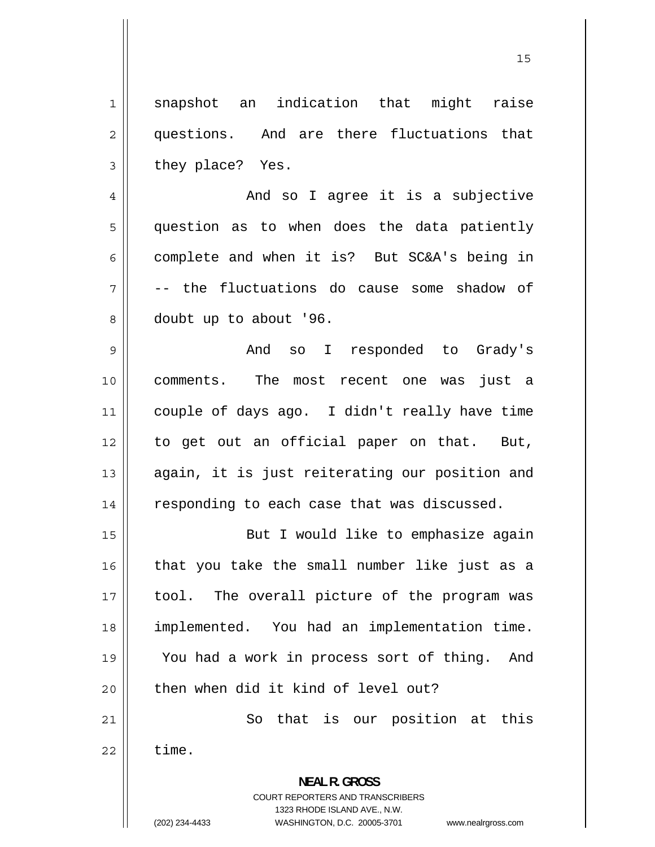<span id="page-14-0"></span>1 snapshot an indication that might raise 2 questions. And are there fluctuations that 3 they place? Yes. 4 And so I agree it is a subjective 5 question as to when does the data patiently

6 complete and when it is? But SC&A's being in 7 -- the fluctuations do cause some shadow of 8 doubt up to about '96.

9 And so I responded to Grady's 10 comments. The most recent one was just a 11 couple of days ago. I didn't really have time 12 to get out an official paper on that. But, 13 again, it is just reiterating our position and 14 | responding to each case that was discussed.

15 But I would like to emphasize again 16 that you take the small number like just as a 17 tool. The overall picture of the program was 18 implemented. You had an implementation time. 19 You had a work in process sort of thing. And 20 then when did it kind of level out?

21 So that is our position at this  $22 \parallel$  time.

> **NEAL R. GROSS**  COURT REPORTERS AND TRANSCRIBERS 1323 RHODE ISLAND AVE., N.W.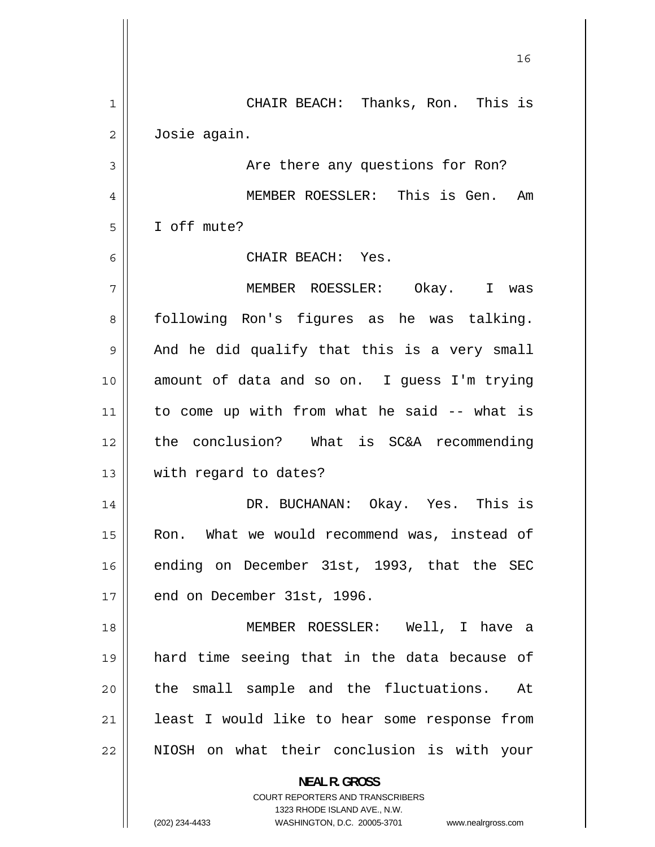<span id="page-15-0"></span>

|    | 16                                                       |
|----|----------------------------------------------------------|
| 1  | CHAIR BEACH: Thanks, Ron. This is                        |
| 2  | Josie again.                                             |
| 3  | Are there any questions for Ron?                         |
| 4  | MEMBER ROESSLER: This is Gen.<br>Am                      |
| 5  | I off mute?                                              |
| 6  | CHAIR BEACH: Yes.                                        |
| 7  | MEMBER ROESSLER: Okay. I was                             |
| 8  | following Ron's figures as he was talking.               |
| 9  | And he did qualify that this is a very small             |
| 10 | amount of data and so on. I guess I'm trying             |
| 11 | to come up with from what he said -- what is             |
| 12 | the conclusion? What is SC&A recommending                |
| 13 | with regard to dates?                                    |
| 14 | DR. BUCHANAN: Okay. Yes. This is                         |
| 15 | Ron. What we would recommend was, instead of             |
| 16 | ending on December 31st, 1993, that the SEC              |
| 17 | end on December 31st, 1996.                              |
| 18 | MEMBER ROESSLER: Well, I have a                          |
| 19 | hard time seeing that in the data because of             |
| 20 | the small sample and the fluctuations. At                |
| 21 | least I would like to hear some response from            |
| 22 | NIOSH on what their conclusion is with your              |
|    | <b>NEAL R. GROSS</b><br>COURT REPORTERS AND TRANSCRIBERS |

1323 RHODE ISLAND AVE., N.W.

 $\prod$ 

 $\mathsf{I}$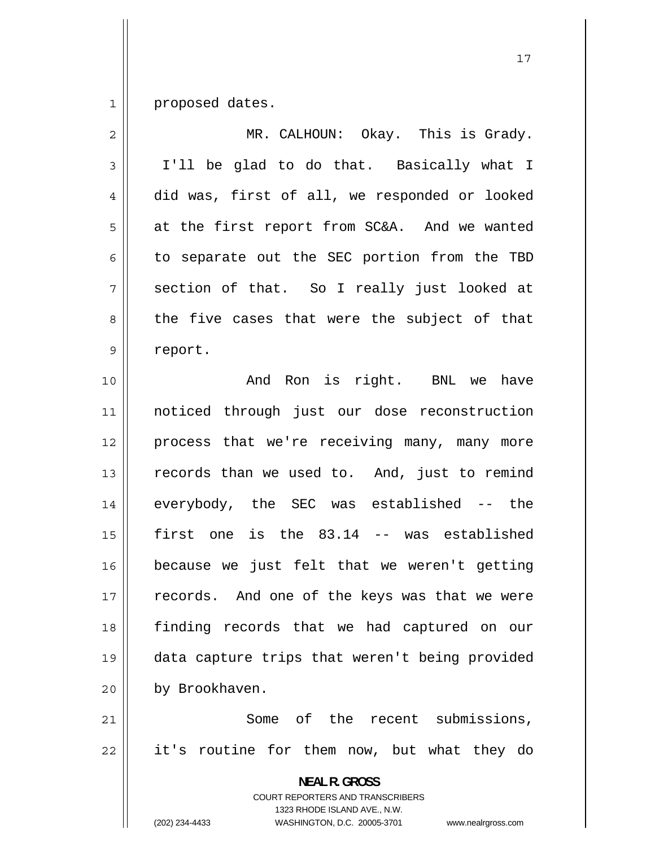<span id="page-16-0"></span>1 proposed dates.

| $\overline{2}$ | MR. CALHOUN: Okay. This is Grady.                                                                                                                                      |
|----------------|------------------------------------------------------------------------------------------------------------------------------------------------------------------------|
| $\mathfrak{Z}$ | I'll be glad to do that. Basically what I                                                                                                                              |
| 4              | did was, first of all, we responded or looked                                                                                                                          |
| 5              | at the first report from SC&A. And we wanted                                                                                                                           |
| 6              | to separate out the SEC portion from the TBD                                                                                                                           |
| 7              | section of that. So I really just looked at                                                                                                                            |
| 8              | the five cases that were the subject of that                                                                                                                           |
| 9              | report.                                                                                                                                                                |
| 10             | And Ron is right. BNL we<br>have                                                                                                                                       |
| 11             | noticed through just our dose reconstruction                                                                                                                           |
| 12             | process that we're receiving many, many more                                                                                                                           |
| 13             | records than we used to. And, just to remind                                                                                                                           |
| 14             | everybody, the SEC was established -- the                                                                                                                              |
| 15             | first one is the 83.14 -- was established                                                                                                                              |
| 16             | because we just felt that we weren't getting                                                                                                                           |
| 17             | records. And one of the keys was that we were                                                                                                                          |
| 18             | finding records that we had captured on our                                                                                                                            |
| 19             | data capture trips that weren't being provided                                                                                                                         |
| 20             | by Brookhaven.                                                                                                                                                         |
| 21             | Some of the recent submissions,                                                                                                                                        |
| 22             | it's routine for them now, but what they do                                                                                                                            |
|                | <b>NEAL R. GROSS</b><br><b>COURT REPORTERS AND TRANSCRIBERS</b><br>1323 RHODE ISLAND AVE., N.W.<br>(202) 234-4433<br>WASHINGTON, D.C. 20005-3701<br>www.nealrgross.com |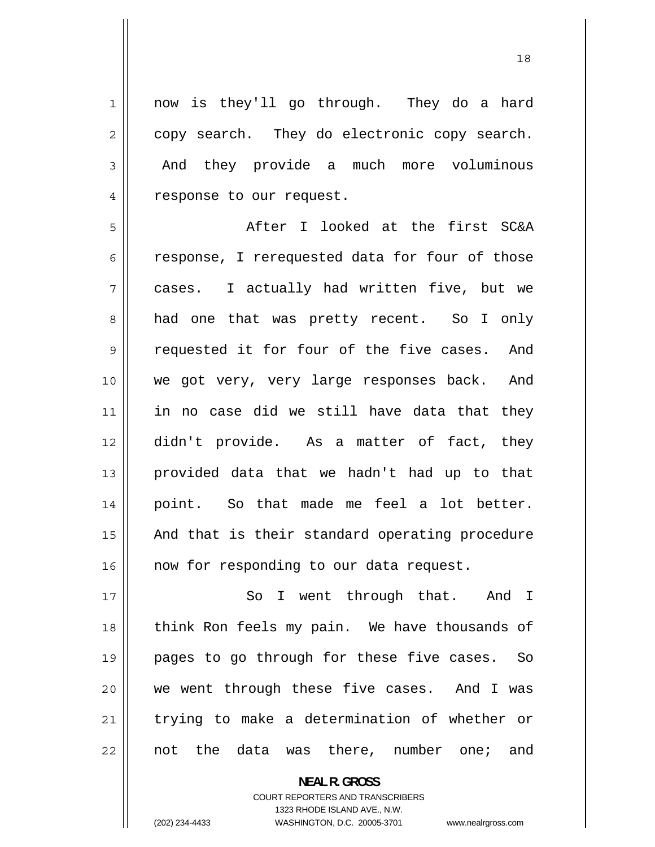now is they'll go through. They do a hard copy search. They do electronic copy search. And they provide a much more voluminous response to our request.

18

5 After I looked at the first SC&A 6 response, I rerequested data for four of those 7 cases. I actually had written five, but we 8 had one that was pretty recent. So I only 9 requested it for four of the five cases. And 10 we got very, very large responses back. And 11 in no case did we still have data that they 12 didn't provide. As a matter of fact, they 13 provided data that we hadn't had up to that 14 point. So that made me feel a lot better. 15 And that is their standard operating procedure 16 || now for responding to our data request.

17 So I went through that. And I 18 think Ron feels my pain. We have thousands of 19 pages to go through for these five cases. So 20 we went through these five cases. And I was 21 trying to make a determination of whether or 22 not the data was there, number one; and

> **NEAL R. GROSS**  COURT REPORTERS AND TRANSCRIBERS 1323 RHODE ISLAND AVE., N.W. (202) 234-4433 WASHINGTON, D.C. 20005-3701 www.nealrgross.com

<span id="page-17-0"></span>1

2

3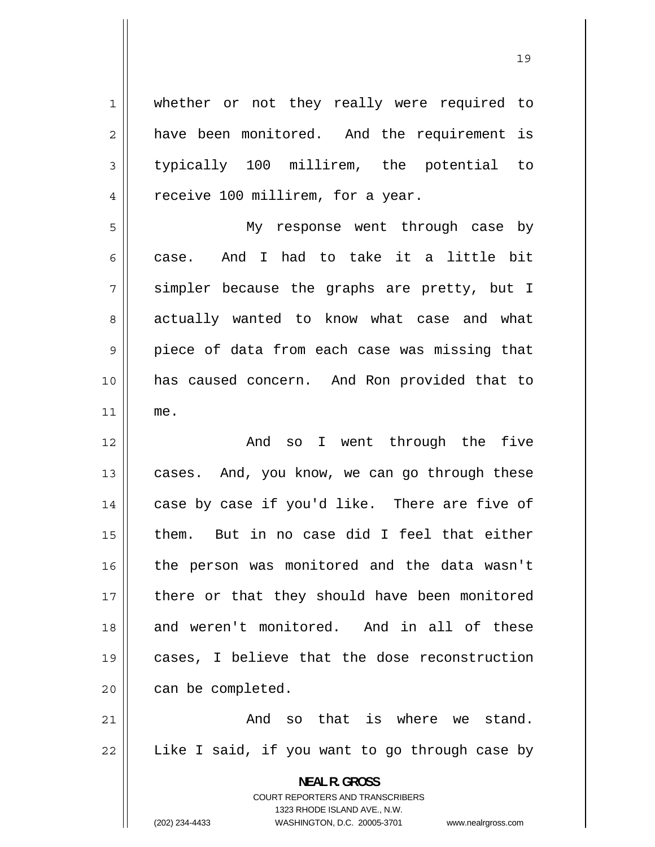<span id="page-18-0"></span>1 whether or not they really were required to 2 have been monitored. And the requirement is 3 typically 100 millirem, the potential to 4 receive 100 millirem, for a year. 5 My response went through case by 6 case. And I had to take it a little bit 7 simpler because the graphs are pretty, but I 8 actually wanted to know what case and what 9 piece of data from each case was missing that 10 has caused concern. And Ron provided that to 11 me. 12 And so I went through the five 13 cases. And, you know, we can go through these 14 case by case if you'd like. There are five of 15 them. But in no case did I feel that either 16 the person was monitored and the data wasn't 17 there or that they should have been monitored 18 and weren't monitored. And in all of these 19 cases, I believe that the dose reconstruction  $20$  | can be completed. 21 And so that is where we stand. 22 Like I said, if you want to go through case by **NEAL R. GROSS**  COURT REPORTERS AND TRANSCRIBERS 1323 RHODE ISLAND AVE., N.W.

19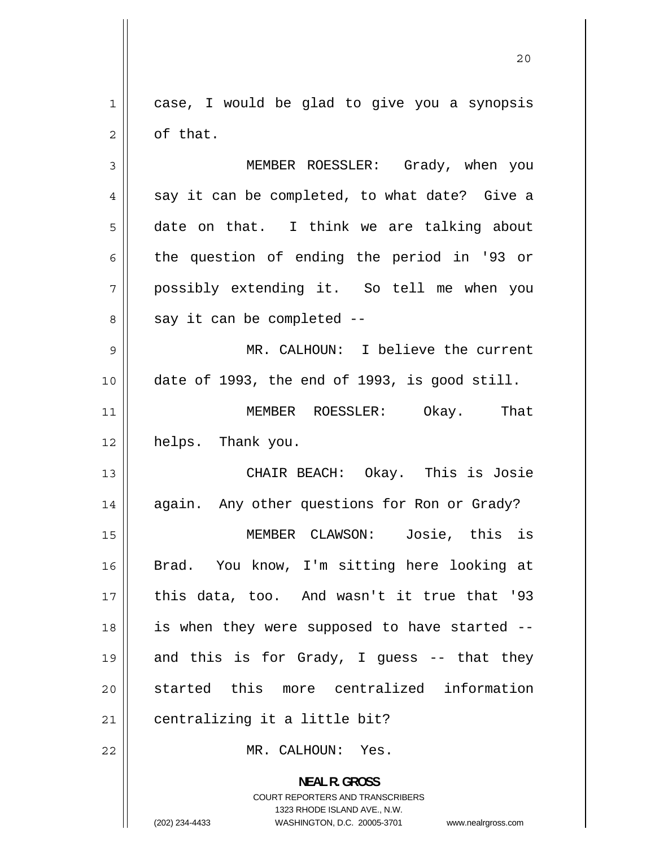<span id="page-19-0"></span>1 case, I would be glad to give you a synopsis 2 of that.

3 MEMBER ROESSLER: Grady, when you 4 say it can be completed, to what date? Give a 5 date on that. I think we are talking about 6 the question of ending the period in '93 or 7 possibly extending it. So tell me when you 8 say it can be completed --

9 MR. CALHOUN: I believe the current 10 date of 1993, the end of 1993, is good still.

11 MEMBER ROESSLER: Okay. That 12 || helps. Thank you.

13 CHAIR BEACH: Okay. This is Josie 14 || again. Any other questions for Ron or Grady? 15 MEMBER CLAWSON: Josie, this is 16 Brad. You know, I'm sitting here looking at 17 this data, too. And wasn't it true that '93 18 is when they were supposed to have started -- 19 and this is for Grady, I guess -- that they 20 started this more centralized information  $21$  | centralizing it a little bit?

22 MR. CALHOUN: Yes.

**NEAL R. GROSS**  COURT REPORTERS AND TRANSCRIBERS 1323 RHODE ISLAND AVE., N.W. (202) 234-4433 WASHINGTON, D.C. 20005-3701 www.nealrgross.com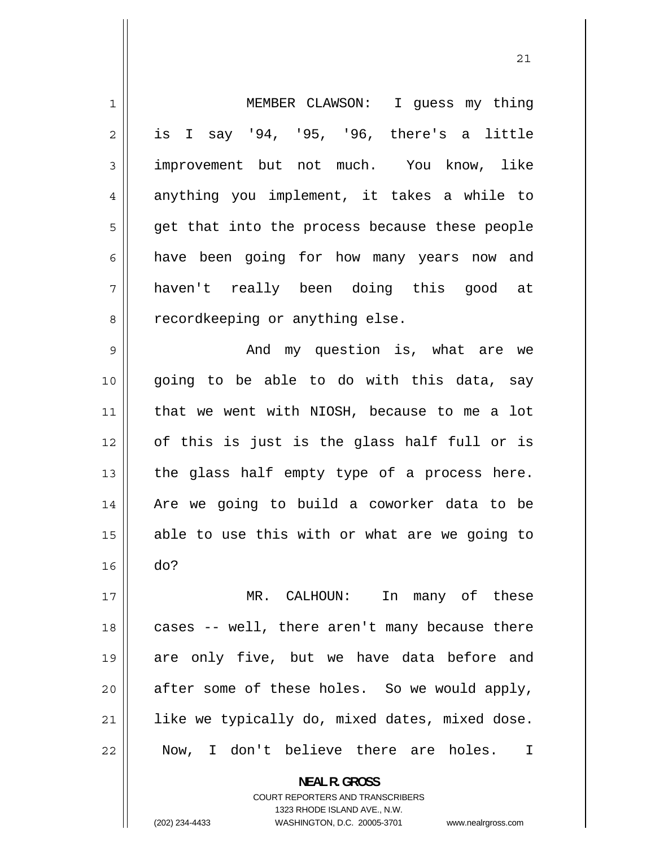<span id="page-20-0"></span>

| $\mathbf 1$    | MEMBER CLAWSON: I guess my thing                      |
|----------------|-------------------------------------------------------|
|                |                                                       |
| $\overline{2}$ | is I say '94, '95, '96, there's a little              |
| 3              | improvement but not much. You know, like              |
| 4              | anything you implement, it takes a while to           |
| 5              | get that into the process because these people        |
| 6              | have been going for how many years now and            |
| 7              | haven't really been doing this good at                |
| 8              | recordkeeping or anything else.                       |
| 9              | And my question is, what are we                       |
| 10             | going to be able to do with this data, say            |
| 11             | that we went with NIOSH, because to me a lot          |
| 12             | of this is just is the glass half full or is          |
| 13             | the glass half empty type of a process here.          |
| 14             | Are we going to build a coworker data to be           |
| 15             | able to use this with or what are we going to         |
| 16             | do?                                                   |
| 17             | In many of these<br>MR. CALHOUN:                      |
| 18             | cases -- well, there aren't many because there        |
| 19             | are only five, but we have data before and            |
| 20             | after some of these holes. So we would apply,         |
| 21             | like we typically do, mixed dates, mixed dose.        |
| 22             | Now, I don't believe there are holes.<br>$\mathbf{I}$ |
|                | <b>NEAL R. GROSS</b>                                  |

COURT REPORTERS AND TRANSCRIBERS 1323 RHODE ISLAND AVE., N.W.

21

 $\mathsf{II}$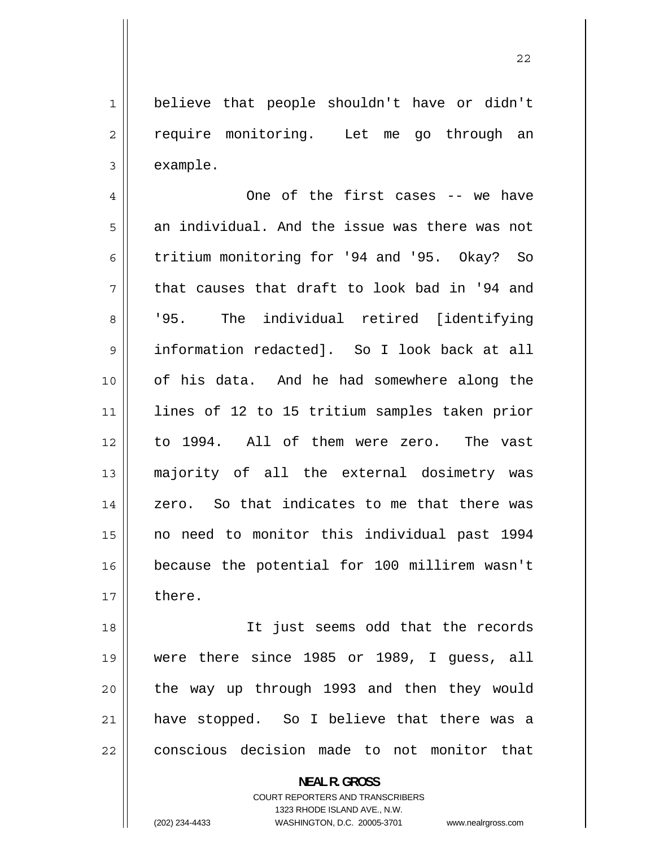<span id="page-21-0"></span>1 believe that people shouldn't have or didn't 2 require monitoring. Let me go through an 3 example.

4 One of the first cases -- we have 5 an individual. And the issue was there was not 6 tritium monitoring for '94 and '95. Okay? So 7 that causes that draft to look bad in '94 and 8 '95. The individual retired [identifying 9 information redacted]. So I look back at all 10 of his data. And he had somewhere along the 11 lines of 12 to 15 tritium samples taken prior 12 to 1994. All of them were zero. The vast 13 majority of all the external dosimetry was 14 zero. So that indicates to me that there was 15 no need to monitor this individual past 1994 16 because the potential for 100 millirem wasn't 17 l there.

18 It just seems odd that the records 19 were there since 1985 or 1989, I guess, all 20 the way up through 1993 and then they would 21 have stopped. So I believe that there was a 22 conscious decision made to not monitor that

> **NEAL R. GROSS**  COURT REPORTERS AND TRANSCRIBERS 1323 RHODE ISLAND AVE., N.W. (202) 234-4433 WASHINGTON, D.C. 20005-3701 www.nealrgross.com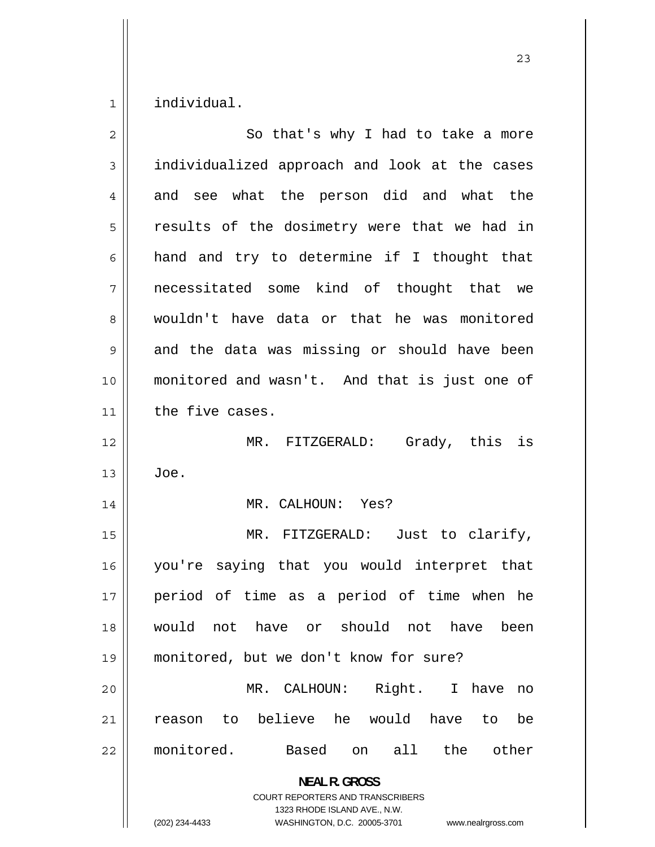1 individual.

| $\overline{2}$ | So that's why I had to take a more                                                                                                                              |
|----------------|-----------------------------------------------------------------------------------------------------------------------------------------------------------------|
| 3              | individualized approach and look at the cases                                                                                                                   |
| 4              | and see what the person did and what the                                                                                                                        |
| 5              | results of the dosimetry were that we had in                                                                                                                    |
| 6              | hand and try to determine if I thought that                                                                                                                     |
| 7              | necessitated some kind of thought that we                                                                                                                       |
| 8              | wouldn't have data or that he was monitored                                                                                                                     |
| 9              | and the data was missing or should have been                                                                                                                    |
| 10             | monitored and wasn't. And that is just one of                                                                                                                   |
| 11             | the five cases.                                                                                                                                                 |
| 12             | MR. FITZGERALD: Grady, this is                                                                                                                                  |
| 13             | Joe.                                                                                                                                                            |
| 14             | MR. CALHOUN: Yes?                                                                                                                                               |
| 15             | MR. FITZGERALD: Just to clarify,                                                                                                                                |
| 16             | you're saying that you would interpret that                                                                                                                     |
| 17             | period of time as a period of time when he                                                                                                                      |
| 18             | would not have or should not have<br>been                                                                                                                       |
| 19             | monitored, but we don't know for sure?                                                                                                                          |
| 20             | Right.<br>MR. CALHOUN:<br>I have<br>no                                                                                                                          |
| 21             | believe he would<br>have<br>to<br>be<br>to<br>reason                                                                                                            |
| 22             | monitored.<br>all<br>the<br>Based<br>other<br>on                                                                                                                |
|                | <b>NEAL R. GROSS</b><br>COURT REPORTERS AND TRANSCRIBERS<br>1323 RHODE ISLAND AVE., N.W.<br>(202) 234-4433<br>WASHINGTON, D.C. 20005-3701<br>www.nealrgross.com |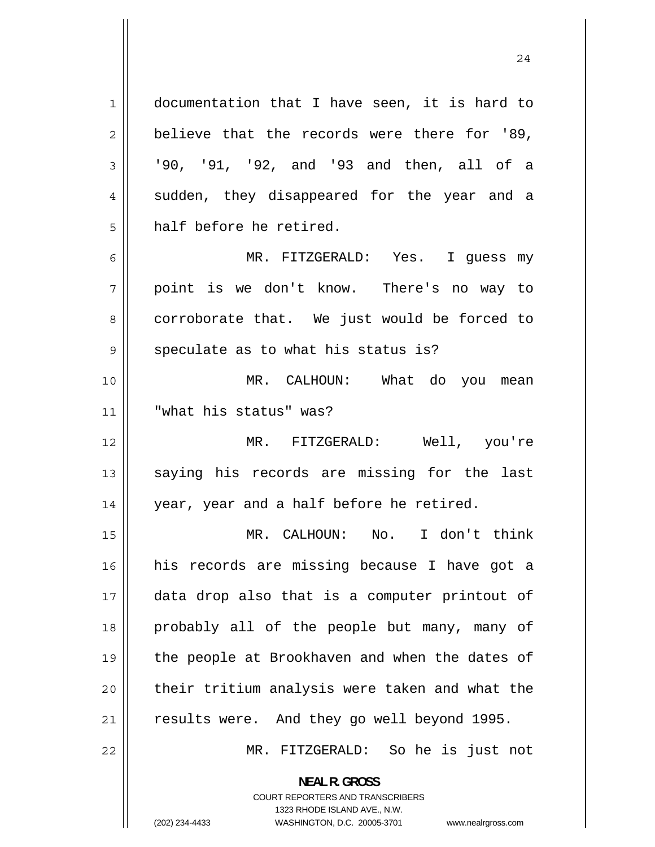1 documentation that I have seen, it is hard to 2 believe that the records were there for '89, 3 '90, '91, '92, and '93 and then, all of a 4 sudden, they disappeared for the year and a 5 half before he retired. 6 MR. FITZGERALD: Yes. I guess my 7 point is we don't know. There's no way to 8 corroborate that. We just would be forced to 9 speculate as to what his status is? 10 MR. CALHOUN: What do you mean 11 "what his status" was? 12 MR. FITZGERALD: Well, you're 13 saying his records are missing for the last 14 || year, year and a half before he retired. 15 MR. CALHOUN: No. I don't think 16 his records are missing because I have got a 17 data drop also that is a computer printout of 18 probably all of the people but many, many of 19 the people at Brookhaven and when the dates of 20 their tritium analysis were taken and what the 21 || results were. And they go well beyond 1995. 22 MR. FITZGERALD: So he is just not

24

**NEAL R. GROSS**  COURT REPORTERS AND TRANSCRIBERS

1323 RHODE ISLAND AVE., N.W.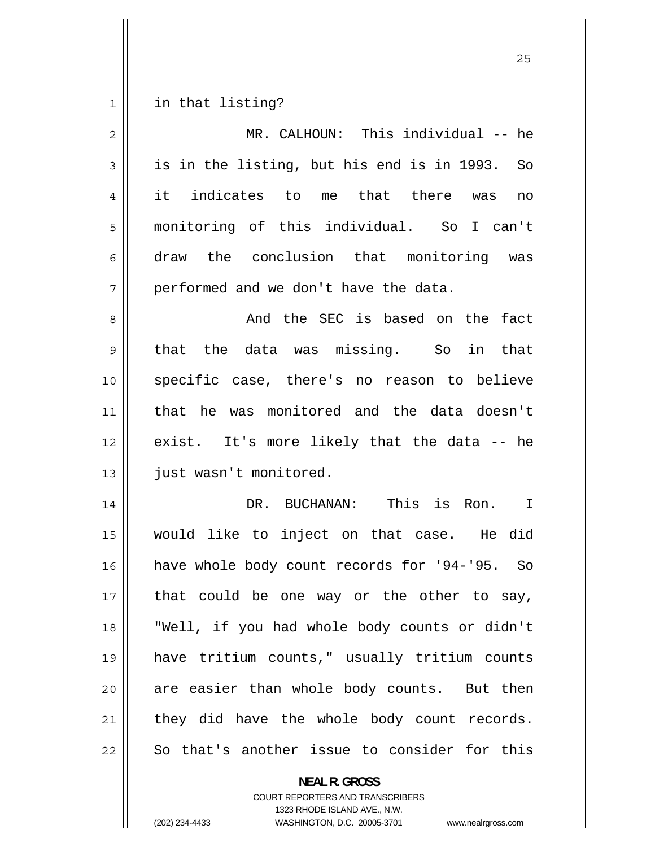1 in that listing?

| $\overline{2}$ | MR. CALHOUN: This individual -- he            |
|----------------|-----------------------------------------------|
| 3              | is in the listing, but his end is in 1993. So |
| 4              | it<br>indicates to me that there<br>was<br>no |
| 5              | monitoring of this individual. So I can't     |
| 6              | the conclusion that monitoring was<br>draw    |
| 7              | performed and we don't have the data.         |
| 8              | And the SEC is based on the fact              |
| 9              | that the data was missing. So in<br>that      |
| 10             | specific case, there's no reason to believe   |
| 11             | that he was monitored and the data doesn't    |
| 12             | exist. It's more likely that the data -- he   |
| 13             | just wasn't monitored.                        |
| 14             | DR. BUCHANAN: This is Ron.<br>$\mathbb{I}$    |
| 15             | would like to inject on that case. He did     |
| 16             | have whole body count records for '94-'95. So |
| 17             | that could be one way or the other to say,    |
| 18             | "Well, if you had whole body counts or didn't |
| 19             | have tritium counts," usually tritium counts  |
| 20             | are easier than whole body counts. But then   |
| 21             | they did have the whole body count records.   |
| 22             | So that's another issue to consider for this  |

COURT REPORTERS AND TRANSCRIBERS

**NEAL R. GROSS** 

1323 RHODE ISLAND AVE., N.W.

(202) 234-4433 WASHINGTON, D.C. 20005-3701 www.nealrgross.com

<u>25</u>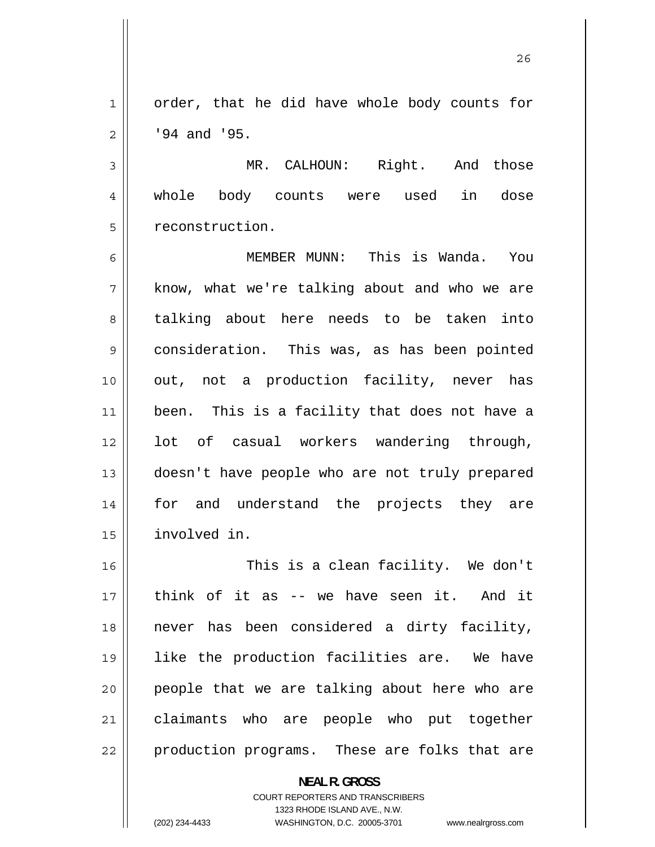1 order, that he did have whole body counts for 2 '94 and '95.

3 MR. CALHOUN: Right. And those 4 whole body counts were used in dose 5 reconstruction.

6 MEMBER MUNN: This is Wanda. You 7 know, what we're talking about and who we are 8 talking about here needs to be taken into 9 consideration. This was, as has been pointed 10 out, not a production facility, never has 11 been. This is a facility that does not have a 12 lot of casual workers wandering through, 13 doesn't have people who are not truly prepared 14 for and understand the projects they are 15 involved in.

16 This is a clean facility. We don't 17 think of it as -- we have seen it. And it 18 never has been considered a dirty facility, 19 like the production facilities are. We have 20 people that we are talking about here who are 21 claimants who are people who put together 22 production programs. These are folks that are

> **NEAL R. GROSS**  COURT REPORTERS AND TRANSCRIBERS 1323 RHODE ISLAND AVE., N.W. (202) 234-4433 WASHINGTON, D.C. 20005-3701 www.nealrgross.com

```
<u>26</u>
```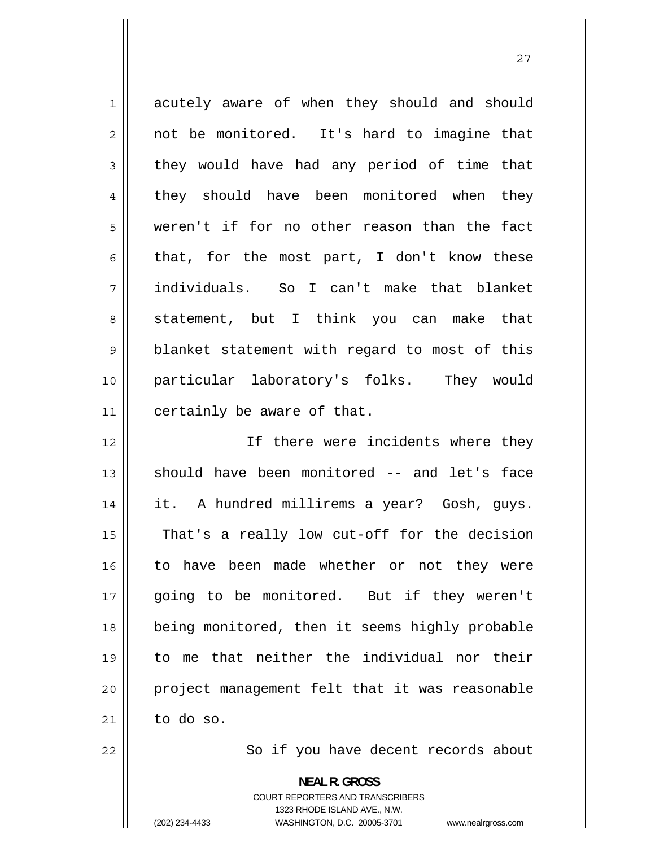1 acutely aware of when they should and should 2 not be monitored. It's hard to imagine that 3 they would have had any period of time that 4 they should have been monitored when they 5 weren't if for no other reason than the fact 6 that, for the most part, I don't know these 7 individuals. So I can't make that blanket 8 statement, but I think you can make that 9 blanket statement with regard to most of this 10 particular laboratory's folks. They would 11 certainly be aware of that. 12 If there were incidents where they 13

27

 should have been monitored -- and let's face 14 it. A hundred millirems a year? Gosh, guys. 15 That's a really low cut-off for the decision 16 to have been made whether or not they were 17 going to be monitored. But if they weren't 18 being monitored, then it seems highly probable 19 to me that neither the individual nor their 20 project management felt that it was reasonable  $21$  to do so.

So if you have decent records about

**NEAL R. GROSS**  COURT REPORTERS AND TRANSCRIBERS 1323 RHODE ISLAND AVE., N.W. (202) 234-4433 WASHINGTON, D.C. 20005-3701 www.nealrgross.com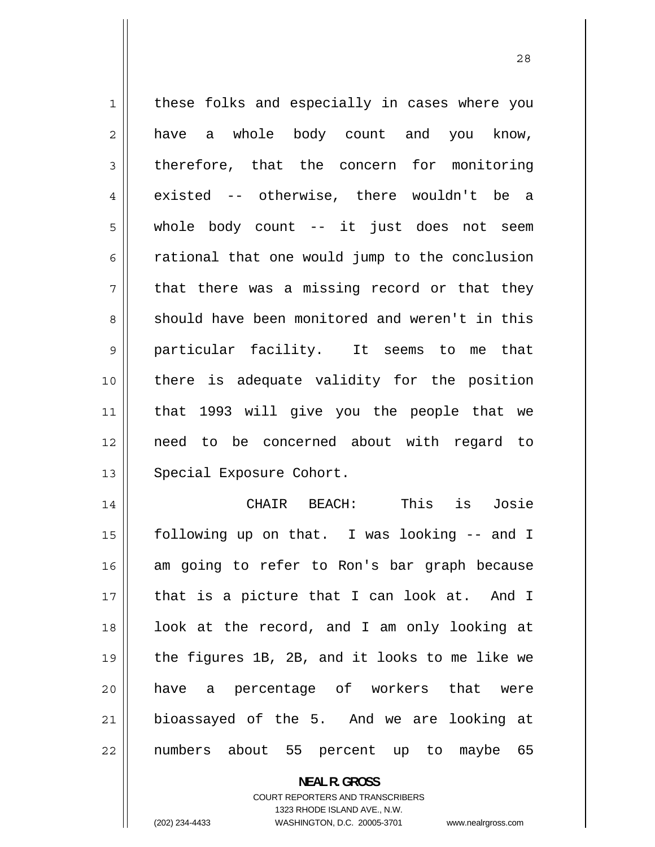| $\mathbf{1}$    | these folks and especially in cases where you  |
|-----------------|------------------------------------------------|
| $\overline{2}$  | have a whole body count and you know,          |
| 3               | therefore, that the concern for monitoring     |
| $\overline{4}$  | existed -- otherwise, there wouldn't be a      |
| 5               | whole body count -- it just does not seem      |
| 6               | rational that one would jump to the conclusion |
| 7               | that there was a missing record or that they   |
| 8               | should have been monitored and weren't in this |
| $\mathsf 9$     | particular facility. It seems to me that       |
| 10              | there is adequate validity for the position    |
| 11              | that 1993 will give you the people that we     |
| 12              | need to be concerned about with regard to      |
| 13              | Special Exposure Cohort.                       |
| 14              | CHAIR BEACH: This is Josie                     |
| 15              | following up on that. I was looking -- and I   |
| 16 <sup>1</sup> | am going to refer to Ron's bar graph because   |
| 17              | that is a picture that I can look at. And I    |
| 18              | look at the record, and I am only looking at   |
| 19              | the figures 1B, 2B, and it looks to me like we |
| 20              | have a percentage of workers that were         |
| 21              | bioassayed of the 5. And we are looking at     |
| 22              | numbers about 55 percent up to maybe 65        |

COURT REPORTERS AND TRANSCRIBERS 1323 RHODE ISLAND AVE., N.W.

**NEAL R. GROSS** 

 $\mathsf{I}$ 

(202) 234-4433 WASHINGTON, D.C. 20005-3701 www.nealrgross.com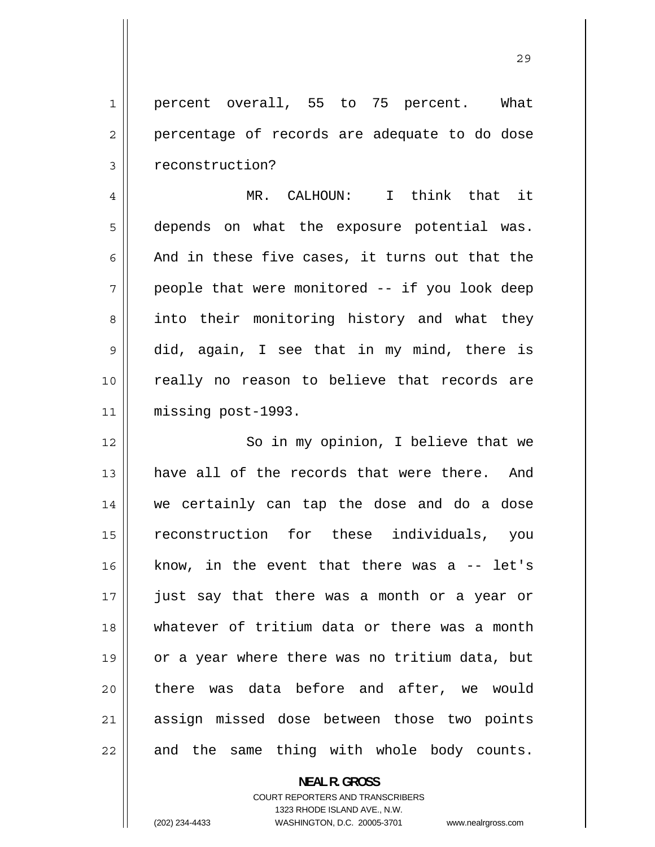1 percent overall, 55 to 75 percent. What 2 percentage of records are adequate to do dose 3 reconstruction?

4 MR. CALHOUN: I think that it 5 depends on what the exposure potential was. 6 And in these five cases, it turns out that the 7 people that were monitored -- if you look deep 8 into their monitoring history and what they 9 did, again, I see that in my mind, there is 10 really no reason to believe that records are 11 missing post-1993.

12 So in my opinion, I believe that we 13 have all of the records that were there. And 14 we certainly can tap the dose and do a dose 15 reconstruction for these individuals, you 16 know, in the event that there was a  $-$  let's 17 just say that there was a month or a year or 18 whatever of tritium data or there was a month 19 or a year where there was no tritium data, but 20 there was data before and after, we would 21 assign missed dose between those two points 22 and the same thing with whole body counts.

> **NEAL R. GROSS**  COURT REPORTERS AND TRANSCRIBERS 1323 RHODE ISLAND AVE., N.W. (202) 234-4433 WASHINGTON, D.C. 20005-3701 www.nealrgross.com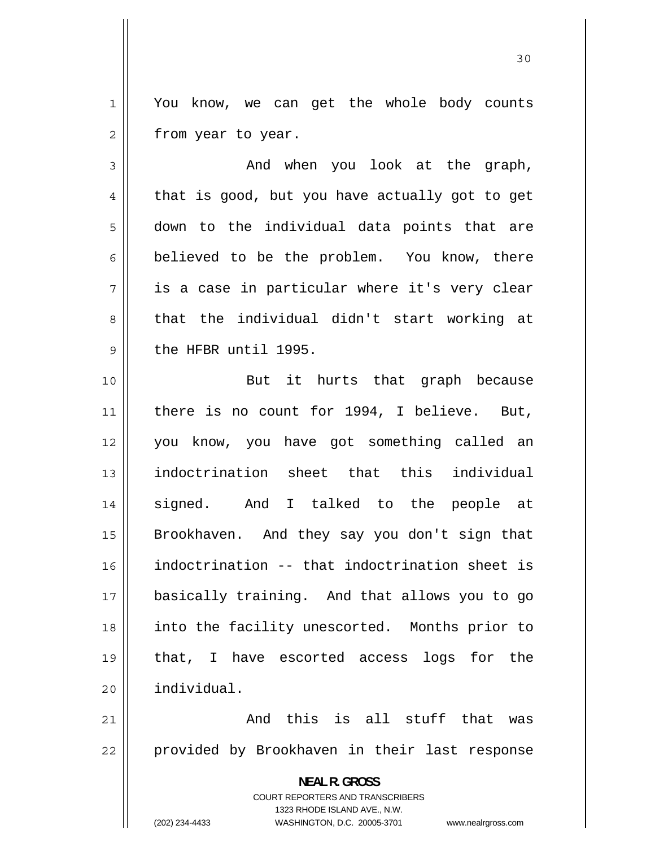1 You know, we can get the whole body counts 2 from year to year.

3 And when you look at the graph, 4 that is good, but you have actually got to get 5 down to the individual data points that are 6 believed to be the problem. You know, there 7 is a case in particular where it's very clear 8 that the individual didn't start working at 9 the HFBR until 1995.

10 But it hurts that graph because 11 there is no count for 1994, I believe. But, 12 you know, you have got something called an 13 indoctrination sheet that this individual 14 signed. And I talked to the people at 15 Brookhaven. And they say you don't sign that 16 indoctrination -- that indoctrination sheet is 17 basically training. And that allows you to go 18 into the facility unescorted. Months prior to 19 that, I have escorted access logs for the 20 individual.

21 And this is all stuff that was 22 provided by Brookhaven in their last response

> **NEAL R. GROSS**  COURT REPORTERS AND TRANSCRIBERS 1323 RHODE ISLAND AVE., N.W.

(202) 234-4433 WASHINGTON, D.C. 20005-3701 www.nealrgross.com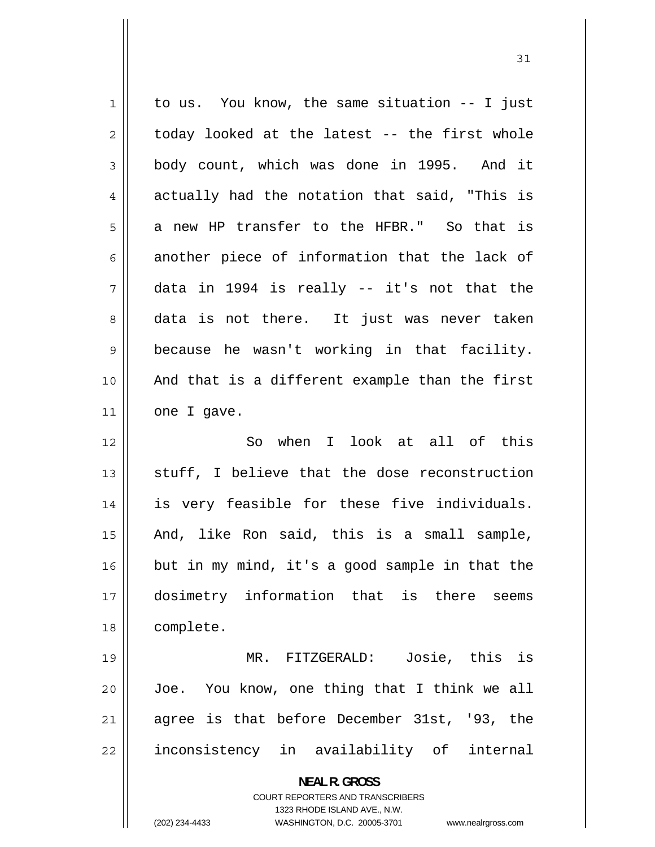| $1\,$          | to us. You know, the same situation -- I just                           |
|----------------|-------------------------------------------------------------------------|
| $\overline{2}$ | today looked at the latest -- the first whole                           |
| $\mathsf 3$    | body count, which was done in 1995. And it                              |
| 4              | actually had the notation that said, "This is                           |
| 5              | a new HP transfer to the HFBR." So that is                              |
| 6              | another piece of information that the lack of                           |
| 7              | data in 1994 is really -- it's not that the                             |
| 8              | data is not there. It just was never taken                              |
| $\mathsf 9$    | because he wasn't working in that facility.                             |
| 10             | And that is a different example than the first                          |
| 11             | one I gave.                                                             |
| 12             | So when I look at all of this                                           |
| 13             | stuff, I believe that the dose reconstruction                           |
| 14             | is very feasible for these five individuals.                            |
| 15             | And, like Ron said, this is a small sample,                             |
| 16             | but in my mind, it's a good sample in that the                          |
| 17             | dosimetry information that is there seems                               |
| 18             | complete.                                                               |
| 19             | Josie, this is<br>MR. FITZGERALD:                                       |
| 20             | Joe. You know, one thing that I think we all                            |
| 21             | agree is that before December 31st, '93, the                            |
| 22             | inconsistency in availability of internal                               |
|                |                                                                         |
|                | <b>NEAL R. GROSS</b>                                                    |
|                | <b>COURT REPORTERS AND TRANSCRIBERS</b><br>1323 RHODE ISLAND AVE., N.W. |
|                | (202) 234-4433<br>WASHINGTON, D.C. 20005-3701<br>www.nealrgross.com     |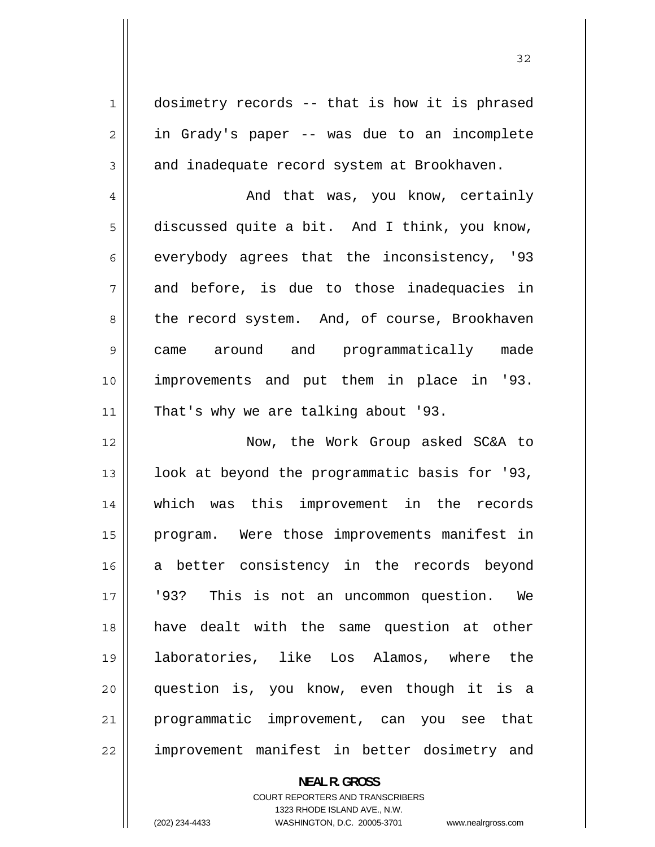dosimetry records -- that is how it is phrased in Grady's paper -- was due to an incomplete and inadequate record system at Brookhaven.

4 And that was, you know, certainly 5 discussed quite a bit. And I think, you know, 6 everybody agrees that the inconsistency, '93 7 and before, is due to those inadequacies in 8 the record system. And, of course, Brookhaven 9 came around and programmatically made 10 improvements and put them in place in '93. 11 || That's why we are talking about '93.

12 Now, the Work Group asked SC&A to 13 look at beyond the programmatic basis for '93, 14 which was this improvement in the records 15 program. Were those improvements manifest in 16 a better consistency in the records beyond 17 '93? This is not an uncommon question. We 18 have dealt with the same question at other 19 laboratories, like Los Alamos, where the 20 question is, you know, even though it is a 21 programmatic improvement, can you see that 22 improvement manifest in better dosimetry and

> **NEAL R. GROSS**  COURT REPORTERS AND TRANSCRIBERS 1323 RHODE ISLAND AVE., N.W. (202) 234-4433 WASHINGTON, D.C. 20005-3701 www.nealrgross.com

1

2

3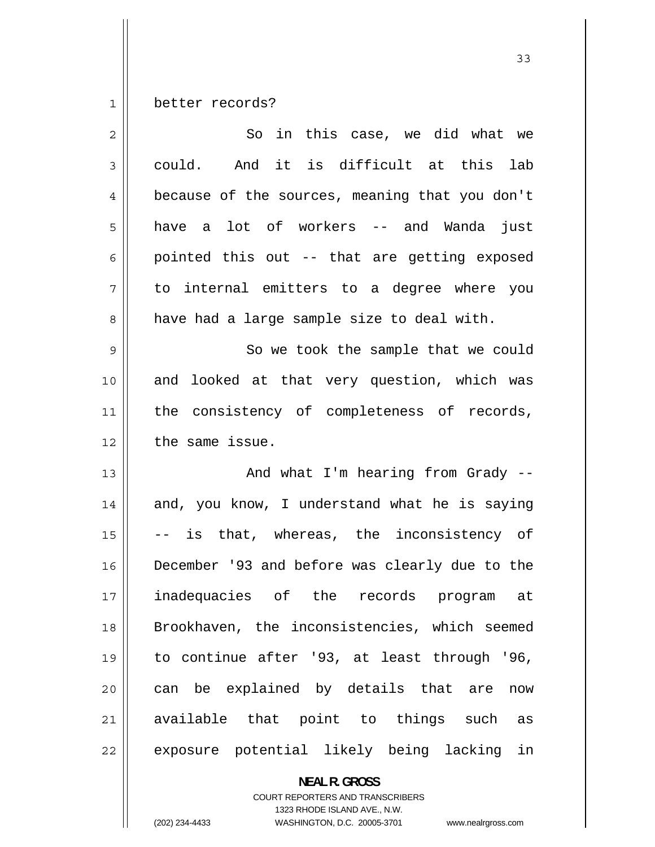1 better records?

| $\overline{2}$ | in this case, we did what we<br>So             |
|----------------|------------------------------------------------|
| 3              | could. And it is difficult at this lab         |
| 4              | because of the sources, meaning that you don't |
| 5              | have a lot of workers -- and Wanda just        |
| 6              | pointed this out -- that are getting exposed   |
| 7              | to internal emitters to a degree where you     |
| 8              | have had a large sample size to deal with.     |
| 9              | So we took the sample that we could            |
| 10             | and looked at that very question, which was    |
| 11             | the consistency of completeness of records,    |
| 12             | the same issue.                                |
| 13             | And what I'm hearing from Grady --             |
| 14             | and, you know, I understand what he is saying  |
| 15             | -- is that, whereas, the inconsistency of      |
| 16             | December '93 and before was clearly due to the |
| 17             | inadequacies of the records program at         |
| 18             | Brookhaven, the inconsistencies, which seemed  |
| 19             | to continue after '93, at least through '96,   |
| 20             | can be explained by details that are<br>now    |
| 21             | available that point to things such as         |
| 22             | exposure potential likely being lacking in     |

**NEAL R. GROSS**  COURT REPORTERS AND TRANSCRIBERS

1323 RHODE ISLAND AVE., N.W.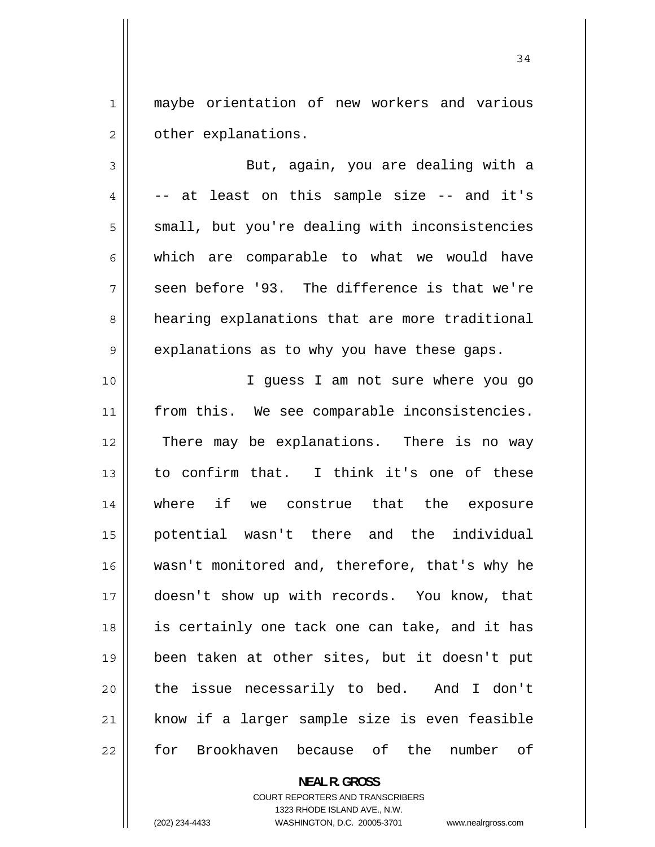1 maybe orientation of new workers and various 2 other explanations.

3 But, again, you are dealing with a 4 -- at least on this sample size -- and it's 5 small, but you're dealing with inconsistencies 6 which are comparable to what we would have 7 seen before '93. The difference is that we're 8 hearing explanations that are more traditional 9 explanations as to why you have these gaps.

10 I guess I am not sure where you go 11 from this. We see comparable inconsistencies. 12 There may be explanations. There is no way 13 to confirm that. I think it's one of these 14 where if we construe that the exposure 15 potential wasn't there and the individual 16 wasn't monitored and, therefore, that's why he 17 doesn't show up with records. You know, that 18 is certainly one tack one can take, and it has 19 been taken at other sites, but it doesn't put 20 the issue necessarily to bed. And I don't 21 know if a larger sample size is even feasible 22 for Brookhaven because of the number of

> **NEAL R. GROSS**  COURT REPORTERS AND TRANSCRIBERS 1323 RHODE ISLAND AVE., N.W.

(202) 234-4433 WASHINGTON, D.C. 20005-3701 www.nealrgross.com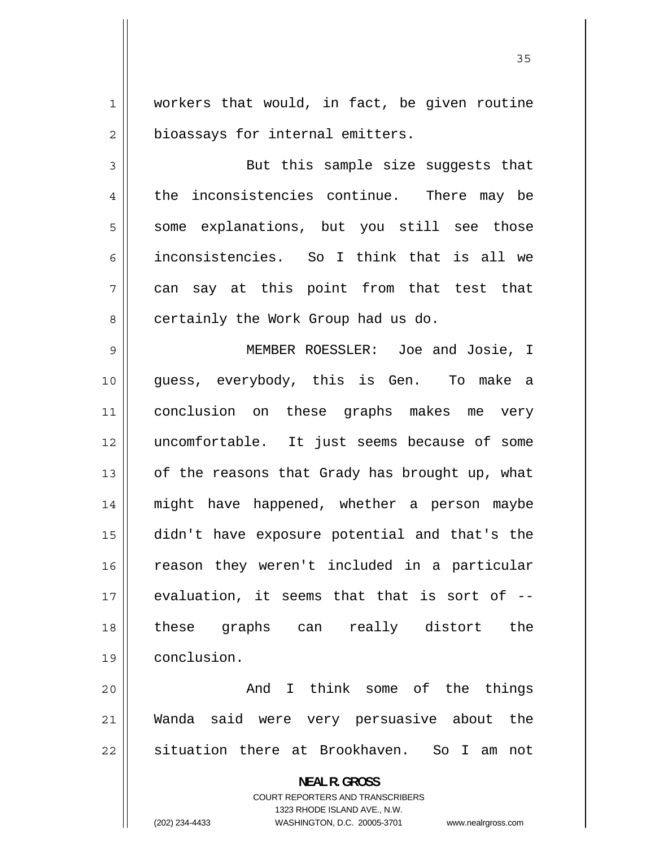1 workers that would, in fact, be given routine 2 bioassays for internal emitters.

3 But this sample size suggests that 4 the inconsistencies continue. There may be 5 some explanations, but you still see those 6 inconsistencies. So I think that is all we 7 can say at this point from that test that 8 certainly the Work Group had us do.

9 MEMBER ROESSLER: Joe and Josie, I 10 guess, everybody, this is Gen. To make a 11 conclusion on these graphs makes me very 12 uncomfortable. It just seems because of some 13 of the reasons that Grady has brought up, what 14 might have happened, whether a person maybe 15 didn't have exposure potential and that's the 16 reason they weren't included in a particular 17 evaluation, it seems that that is sort of -- 18 these graphs can really distort the 19 conclusion.

20 And I think some of the things 21 Wanda said were very persuasive about the 22 situation there at Brookhaven. So I am not

> **NEAL R. GROSS**  COURT REPORTERS AND TRANSCRIBERS

> > 1323 RHODE ISLAND AVE., N.W.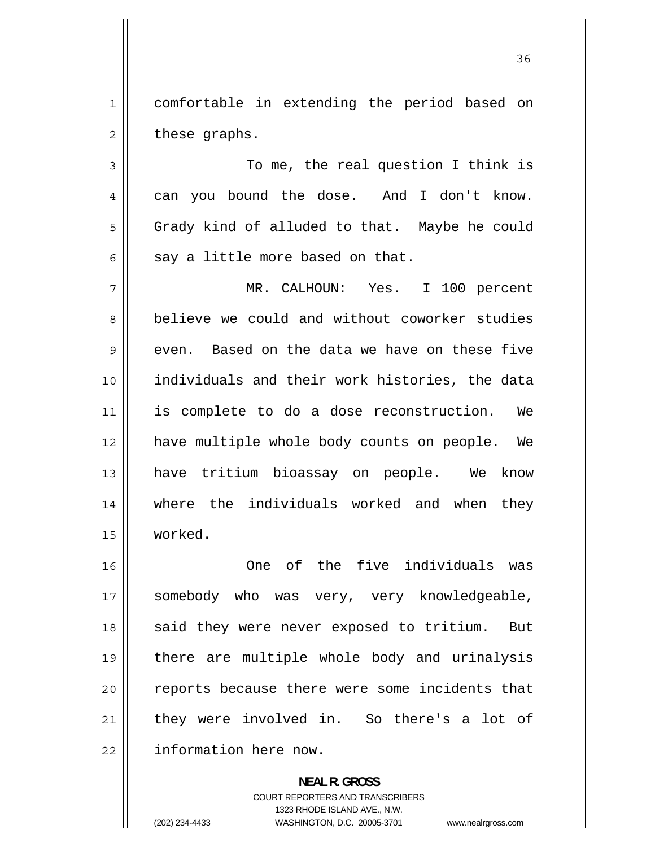1 comfortable in extending the period based on 2 these graphs.

36

3 To me, the real question I think is 4 can you bound the dose. And I don't know. 5 Grady kind of alluded to that. Maybe he could 6 say a little more based on that.

7 MR. CALHOUN: Yes. I 100 percent 8 believe we could and without coworker studies 9 even. Based on the data we have on these five 10 individuals and their work histories, the data 11 is complete to do a dose reconstruction. We 12 have multiple whole body counts on people. We 13 have tritium bioassay on people. We know 14 where the individuals worked and when they 15 worked.

16 One of the five individuals was 17 somebody who was very, very knowledgeable, 18 said they were never exposed to tritium. But 19 there are multiple whole body and urinalysis 20 reports because there were some incidents that 21 they were involved in. So there's a lot of 22 | information here now.

> **NEAL R. GROSS**  COURT REPORTERS AND TRANSCRIBERS 1323 RHODE ISLAND AVE., N.W. (202) 234-4433 WASHINGTON, D.C. 20005-3701 www.nealrgross.com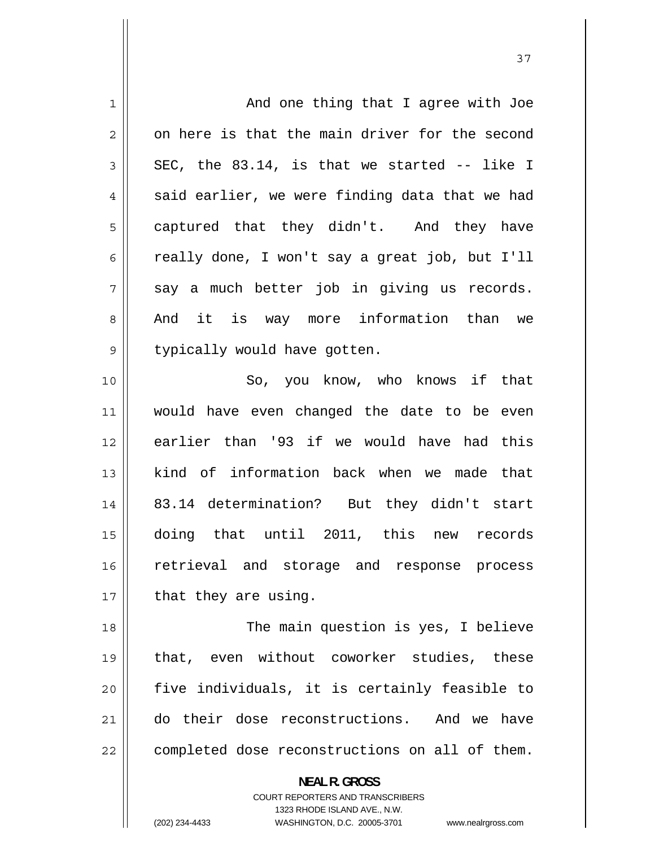| $\mathbf 1$    | And one thing that I agree with Joe                                                                                                                                    |
|----------------|------------------------------------------------------------------------------------------------------------------------------------------------------------------------|
| $\overline{2}$ | on here is that the main driver for the second                                                                                                                         |
| $\mathfrak{Z}$ | SEC, the 83.14, is that we started -- like I                                                                                                                           |
| $\overline{4}$ | said earlier, we were finding data that we had                                                                                                                         |
| 5              | captured that they didn't. And they have                                                                                                                               |
| 6              | really done, I won't say a great job, but I'll                                                                                                                         |
| 7              | say a much better job in giving us records.                                                                                                                            |
| 8              | And it is way more information than we                                                                                                                                 |
| 9              | typically would have gotten.                                                                                                                                           |
| 10             | So, you know, who knows if that                                                                                                                                        |
| 11             | would have even changed the date to be even                                                                                                                            |
| 12             | earlier than '93 if we would have had this                                                                                                                             |
| 13             | kind of information back when we made that                                                                                                                             |
| 14             | 83.14 determination? But they didn't start                                                                                                                             |
| 15             | doing that until 2011, this new records                                                                                                                                |
| 16             | retrieval and storage and response process                                                                                                                             |
| 17             | that they are using.                                                                                                                                                   |
| 18             | The main question is yes, I believe                                                                                                                                    |
| 19             | that, even without coworker studies, these                                                                                                                             |
| 20             | five individuals, it is certainly feasible to                                                                                                                          |
| 21             | do their dose reconstructions. And we have                                                                                                                             |
| 22             | completed dose reconstructions on all of them.                                                                                                                         |
|                | <b>NEAL R. GROSS</b><br><b>COURT REPORTERS AND TRANSCRIBERS</b><br>1323 RHODE ISLAND AVE., N.W.<br>(202) 234-4433<br>WASHINGTON, D.C. 20005-3701<br>www.nealrgross.com |
|                |                                                                                                                                                                        |

37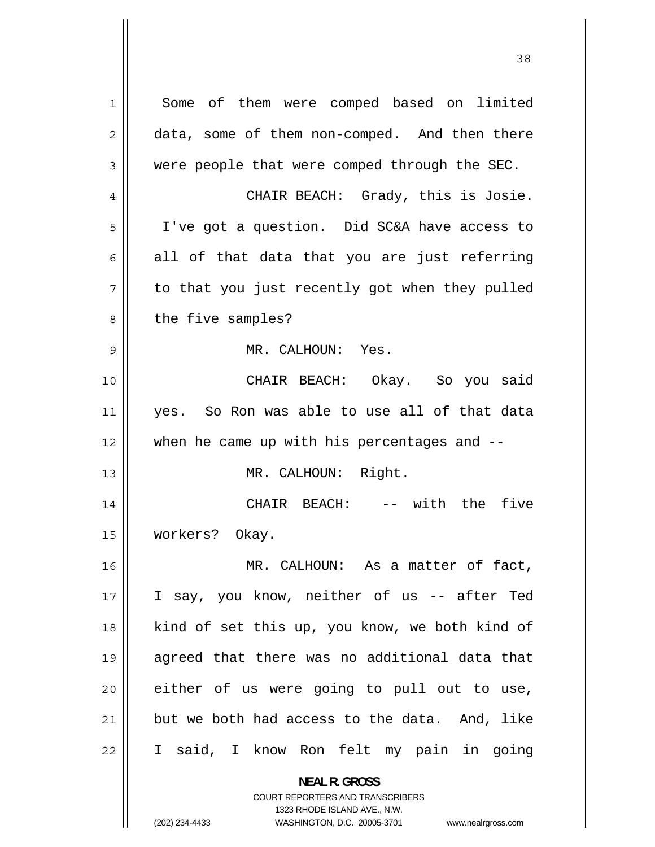| 1  | Some of them were comped based on limited                |
|----|----------------------------------------------------------|
| 2  | data, some of them non-comped. And then there            |
| 3  | were people that were comped through the SEC.            |
| 4  | CHAIR BEACH: Grady, this is Josie.                       |
| 5  | I've got a question. Did SC&A have access to             |
| 6  | all of that data that you are just referring             |
| 7  | to that you just recently got when they pulled           |
| 8  | the five samples?                                        |
| 9  | MR. CALHOUN: Yes.                                        |
| 10 | CHAIR BEACH: Okay. So you said                           |
| 11 | yes. So Ron was able to use all of that data             |
| 12 | when he came up with his percentages and --              |
| 13 | MR. CALHOUN: Right.                                      |
| 14 | CHAIR BEACH: -- with the five                            |
| 15 | workers? Okay.                                           |
| 16 | MR. CALHOUN: As a matter of fact,                        |
| 17 | I say, you know, neither of us -- after Ted              |
| 18 | kind of set this up, you know, we both kind of           |
| 19 | agreed that there was no additional data that            |
| 20 | either of us were going to pull out to use,              |
| 21 | but we both had access to the data. And, like            |
| 22 | I said, I know Ron felt my pain in going                 |
|    | <b>NEAL R. GROSS</b><br>COURT REPORTERS AND TRANSCRIBERS |

1323 RHODE ISLAND AVE., N.W.

 $\prod$ 

(202) 234-4433 WASHINGTON, D.C. 20005-3701 www.nealrgross.com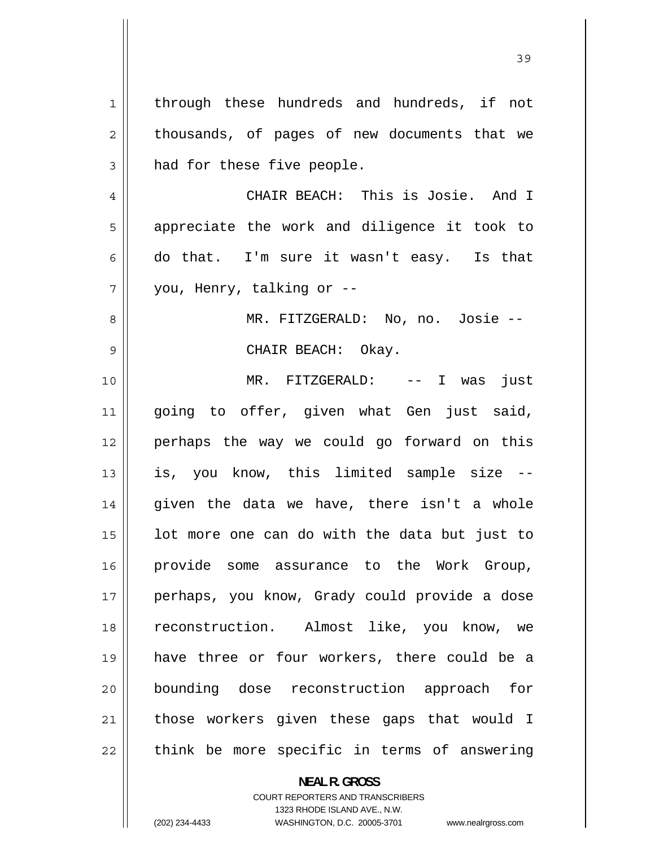1 through these hundreds and hundreds, if not 2 thousands, of pages of new documents that we 3 had for these five people. 4 CHAIR BEACH: This is Josie. And I 5 appreciate the work and diligence it took to 6 do that. I'm sure it wasn't easy. Is that 7 you, Henry, talking or -- 8 MR. FITZGERALD: No, no. Josie -- 9 CHAIR BEACH: Okay. 10 MR. FITZGERALD: -- I was just 11 going to offer, given what Gen just said, 12 perhaps the way we could go forward on this 13 is, you know, this limited sample size -- 14 given the data we have, there isn't a whole 15 lot more one can do with the data but just to 16 provide some assurance to the Work Group, 17 perhaps, you know, Grady could provide a dose 18 reconstruction. Almost like, you know, we 19 have three or four workers, there could be a 20 bounding dose reconstruction approach for 21 those workers given these gaps that would I 22 think be more specific in terms of answering

> **NEAL R. GROSS**  COURT REPORTERS AND TRANSCRIBERS 1323 RHODE ISLAND AVE., N.W.

(202) 234-4433 WASHINGTON, D.C. 20005-3701 www.nealrgross.com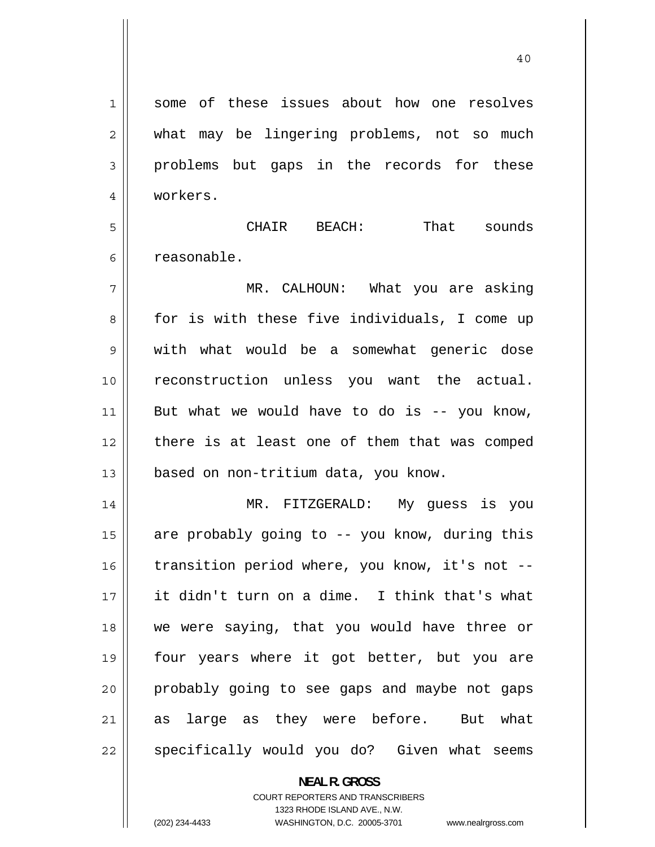1 some of these issues about how one resolves 2 what may be lingering problems, not so much 3 problems but gaps in the records for these 4 workers.

5 CHAIR BEACH: That sounds 6 reasonable.

7 MR. CALHOUN: What you are asking 8 for is with these five individuals, I come up 9 with what would be a somewhat generic dose 10 reconstruction unless you want the actual. 11 But what we would have to do is  $-$ - you know, 12 there is at least one of them that was comped 13 based on non-tritium data, you know.

14 MR. FITZGERALD: My guess is you 15 are probably going to -- you know, during this 16 transition period where, you know, it's not -- 17 it didn't turn on a dime. I think that's what 18 we were saying, that you would have three or 19 four years where it got better, but you are 20 probably going to see gaps and maybe not gaps 21 as large as they were before. But what 22 specifically would you do? Given what seems

### **NEAL R. GROSS**

COURT REPORTERS AND TRANSCRIBERS 1323 RHODE ISLAND AVE., N.W. (202) 234-4433 WASHINGTON, D.C. 20005-3701 www.nealrgross.com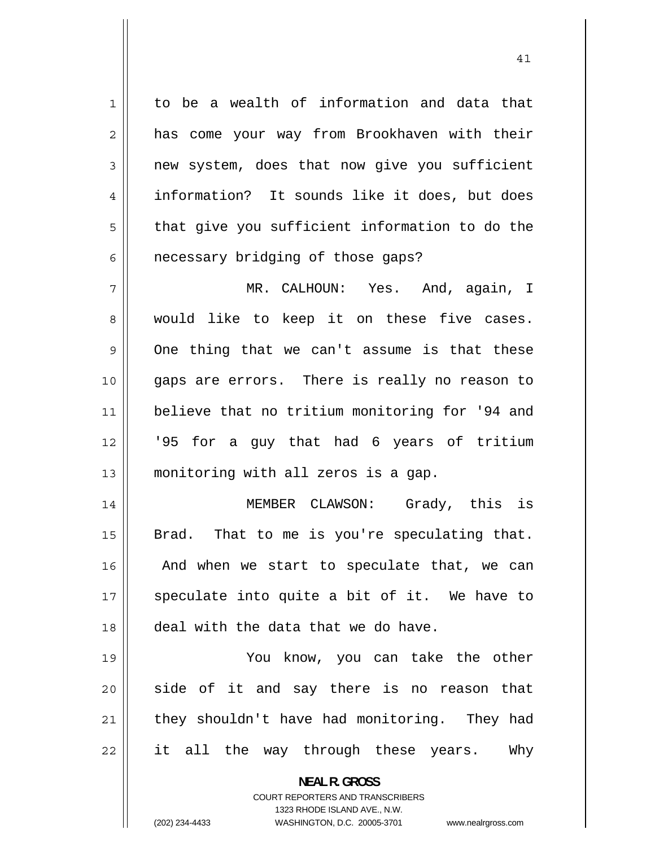1 to be a wealth of information and data that 2 has come your way from Brookhaven with their 3 new system, does that now give you sufficient 4 information? It sounds like it does, but does 5 that give you sufficient information to do the 6 necessary bridging of those gaps? 7 MR. CALHOUN: Yes. And, again, I 8 would like to keep it on these five cases. 9 One thing that we can't assume is that these 10 gaps are errors. There is really no reason to 11 believe that no tritium monitoring for '94 and 12 '95 for a guy that had 6 years of tritium 13 monitoring with all zeros is a gap. 14 MEMBER CLAWSON: Grady, this is 15 Brad. That to me is you're speculating that. 16 And when we start to speculate that, we can 17 speculate into quite a bit of it. We have to 18 deal with the data that we do have. 19 You know, you can take the other 20 side of it and say there is no reason that 21 they shouldn't have had monitoring. They had

22 it all the way through these years. Why

> **NEAL R. GROSS**  COURT REPORTERS AND TRANSCRIBERS

> > 1323 RHODE ISLAND AVE., N.W.

(202) 234-4433 WASHINGTON, D.C. 20005-3701 www.nealrgross.com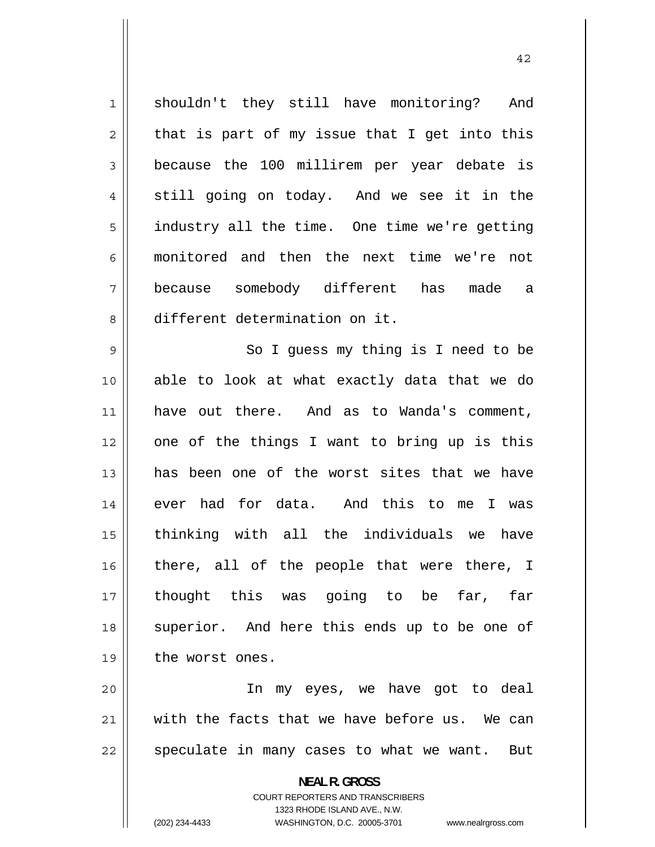1 shouldn't they still have monitoring? And 2 that is part of my issue that I get into this 3 because the 100 millirem per year debate is 4 still going on today. And we see it in the 5 industry all the time. One time we're getting 6 monitored and then the next time we're not 7 because somebody different has made a 8 different determination on it. 9 So I guess my thing is I need to be 10 able to look at what exactly data that we do 11 have out there. And as to Wanda's comment, 12 one of the things I want to bring up is this 13 has been one of the worst sites that we have 14 ever had for data. And this to me I was 15 thinking with all the individuals we have 16 there, all of the people that were there, I 17 thought this was going to be far, far 18 superior. And here this ends up to be one of 19 | the worst ones. 20 In my eyes, we have got to deal 21 with the facts that we have before us. We can

22

**NEAL R. GROSS**  COURT REPORTERS AND TRANSCRIBERS

speculate in many cases to what we want. But

1323 RHODE ISLAND AVE., N.W. (202) 234-4433 WASHINGTON, D.C. 20005-3701 www.nealrgross.com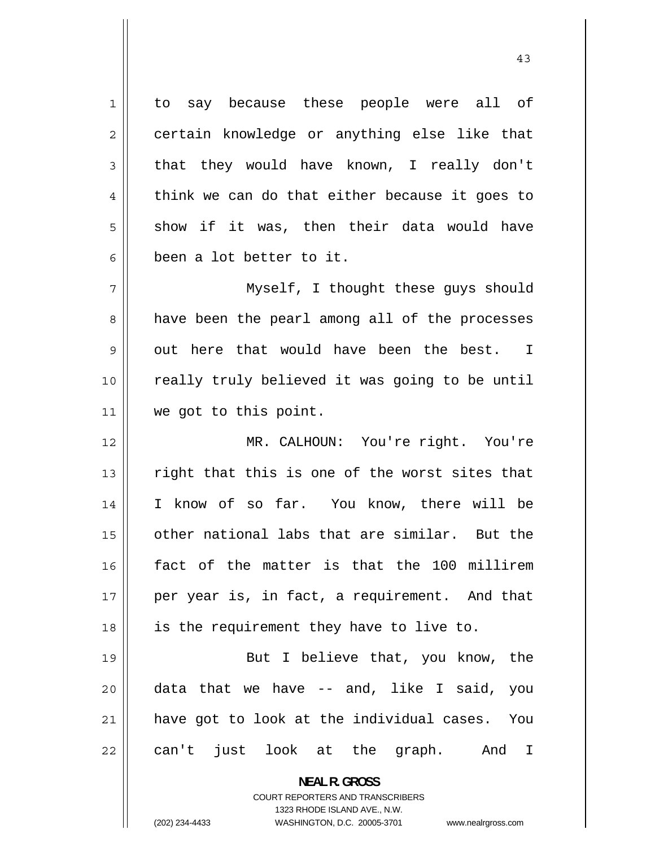1 to say because these people were all of 2 certain knowledge or anything else like that 3 that they would have known, I really don't 4 think we can do that either because it goes to 5 show if it was, then their data would have 6 been a lot better to it. 7 Myself, I thought these guys should 8 have been the pearl among all of the processes 9 out here that would have been the best. I 10 really truly believed it was going to be until 11 || we got to this point.

43

12 MR. CALHOUN: You're right. You're 13 right that this is one of the worst sites that 14 I know of so far. You know, there will be 15 other national labs that are similar. But the 16 fact of the matter is that the 100 millirem 17 per year is, in fact, a requirement. And that 18 || is the requirement they have to live to.

19 But I believe that, you know, the 20 data that we have -- and, like I said, you 21 have got to look at the individual cases. You 22 can't just look at the graph. And I

**NEAL R. GROSS** 

COURT REPORTERS AND TRANSCRIBERS 1323 RHODE ISLAND AVE., N.W. (202) 234-4433 WASHINGTON, D.C. 20005-3701 www.nealrgross.com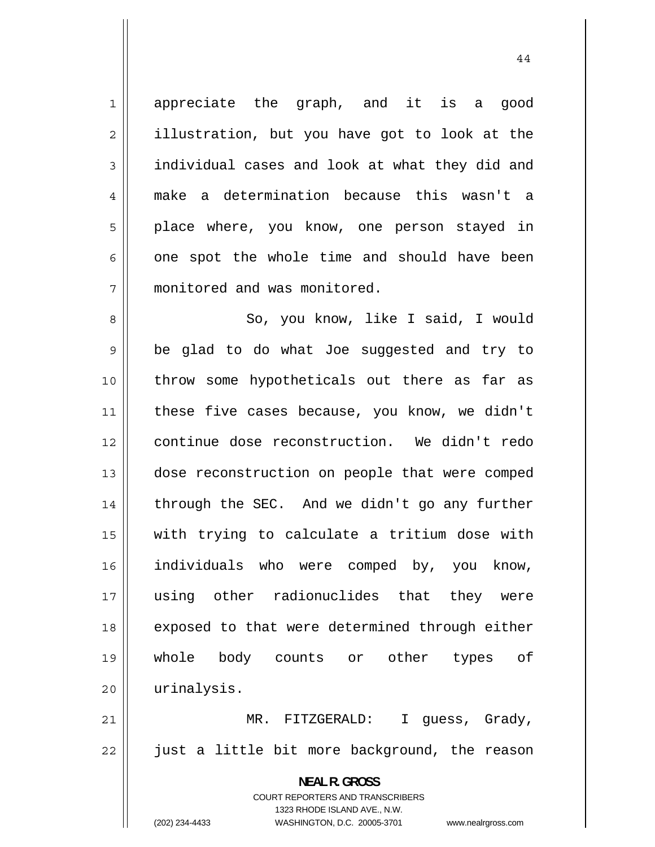1 appreciate the graph, and it is a good illustration, but you have got to look at the individual cases and look at what they did and make a determination because this wasn't a place where, you know, one person stayed in one spot the whole time and should have been 7 monitored and was monitored.

2

3

4

5

6

44

8 So, you know, like I said, I would 9 be glad to do what Joe suggested and try to 10 throw some hypotheticals out there as far as 11 these five cases because, you know, we didn't 12 continue dose reconstruction. We didn't redo 13 dose reconstruction on people that were comped 14 through the SEC. And we didn't go any further 15 with trying to calculate a tritium dose with 16 individuals who were comped by, you know, 17 using other radionuclides that they were 18 exposed to that were determined through either 19 whole body counts or other types of 20 urinalysis.

21 MR. FITZGERALD: I guess, Grady, 22 just a little bit more background, the reason

> **NEAL R. GROSS**  COURT REPORTERS AND TRANSCRIBERS 1323 RHODE ISLAND AVE., N.W. (202) 234-4433 WASHINGTON, D.C. 20005-3701 www.nealrgross.com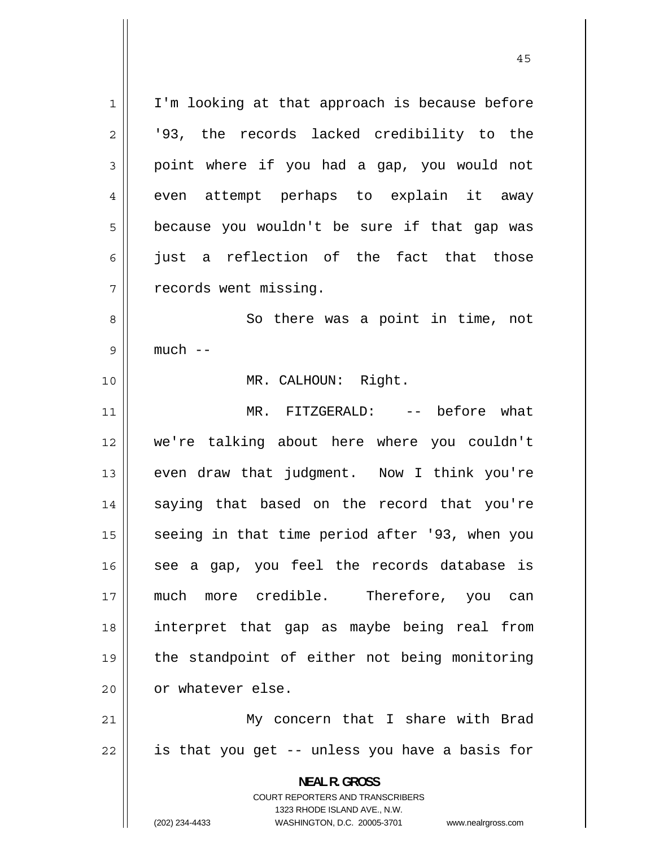1 I'm looking at that approach is because before 2 '93, the records lacked credibility to the 3 point where if you had a gap, you would not 4 even attempt perhaps to explain it away 5 because you wouldn't be sure if that gap was 6 just a reflection of the fact that those 7 records went missing. 8 So there was a point in time, not 9 much -- 10 MR. CALHOUN: Right. 11 MR. FITZGERALD: -- before what 12 we're talking about here where you couldn't 13 even draw that judgment. Now I think you're 14 saying that based on the record that you're 15 seeing in that time period after '93, when you 16 see a gap, you feel the records database is 17 much more credible. Therefore, you can 18 interpret that gap as maybe being real from 19 the standpoint of either not being monitoring 20 | or whatever else. 21 My concern that I share with Brad 22 is that you get -- unless you have a basis for **NEAL R. GROSS**  COURT REPORTERS AND TRANSCRIBERS 1323 RHODE ISLAND AVE., N.W. (202) 234-4433 WASHINGTON, D.C. 20005-3701 www.nealrgross.com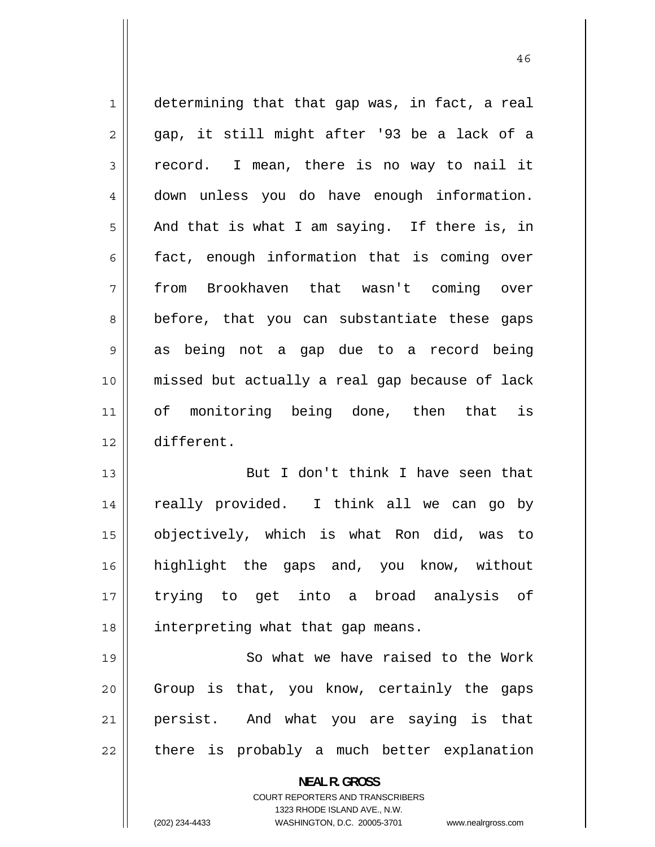1 determining that that gap was, in fact, a real 2 gap, it still might after '93 be a lack of a 3 record. I mean, there is no way to nail it 4 down unless you do have enough information. 5 And that is what I am saying. If there is, in 6 fact, enough information that is coming over 7 from Brookhaven that wasn't coming over 8 before, that you can substantiate these gaps 9 as being not a gap due to a record being 10 missed but actually a real gap because of lack 11 of monitoring being done, then that is 12 different. 13 But I don't think I have seen that 14 really provided. I think all we can go by 15 objectively, which is what Ron did, was to 16 highlight the gaps and, you know, without 17 trying to get into a broad analysis of 18 || interpreting what that gap means. 19 So what we have raised to the Work 20 Group is that, you know, certainly the gaps 21 persist. And what you are saying is that 22 there is probably a much better explanation **NEAL R. GROSS** 

> COURT REPORTERS AND TRANSCRIBERS 1323 RHODE ISLAND AVE., N.W.

(202) 234-4433 WASHINGTON, D.C. 20005-3701 www.nealrgross.com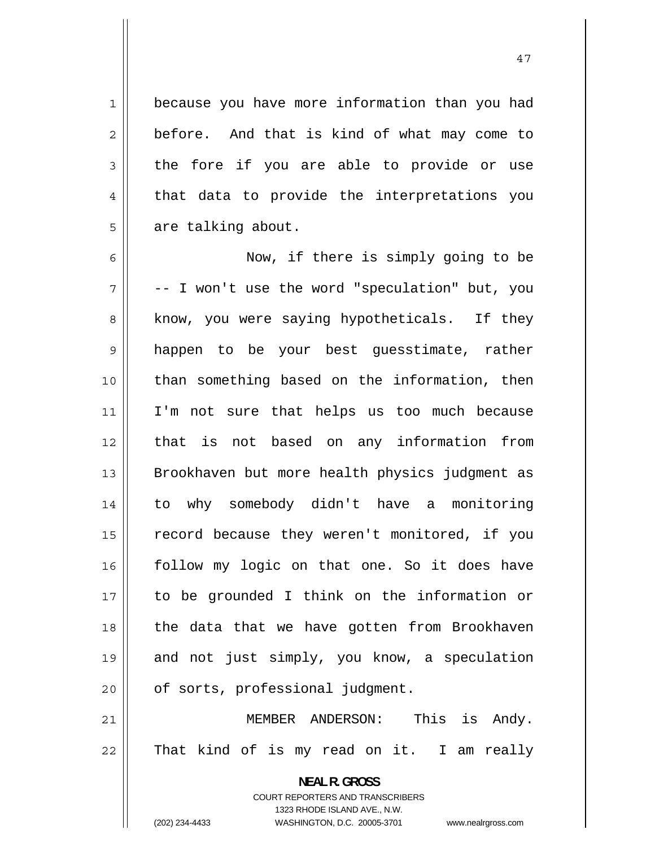because you have more information than you had before. And that is kind of what may come to the fore if you are able to provide or use that data to provide the interpretations you are talking about.

1

2

3

4

5

6 Now, if there is simply going to be 7 -- I won't use the word "speculation" but, you 8 know, you were saying hypotheticals. If they 9 happen to be your best guesstimate, rather 10 than something based on the information, then 11 I'm not sure that helps us too much because 12 that is not based on any information from 13 Brookhaven but more health physics judgment as 14 to why somebody didn't have a monitoring 15 record because they weren't monitored, if you 16 follow my logic on that one. So it does have 17 to be grounded I think on the information or 18 the data that we have gotten from Brookhaven 19 and not just simply, you know, a speculation 20 || of sorts, professional judgment.

21 MEMBER ANDERSON: This is Andy. 22 That kind of is my read on it. I am really

> **NEAL R. GROSS**  COURT REPORTERS AND TRANSCRIBERS 1323 RHODE ISLAND AVE., N.W.

(202) 234-4433 WASHINGTON, D.C. 20005-3701 www.nealrgross.com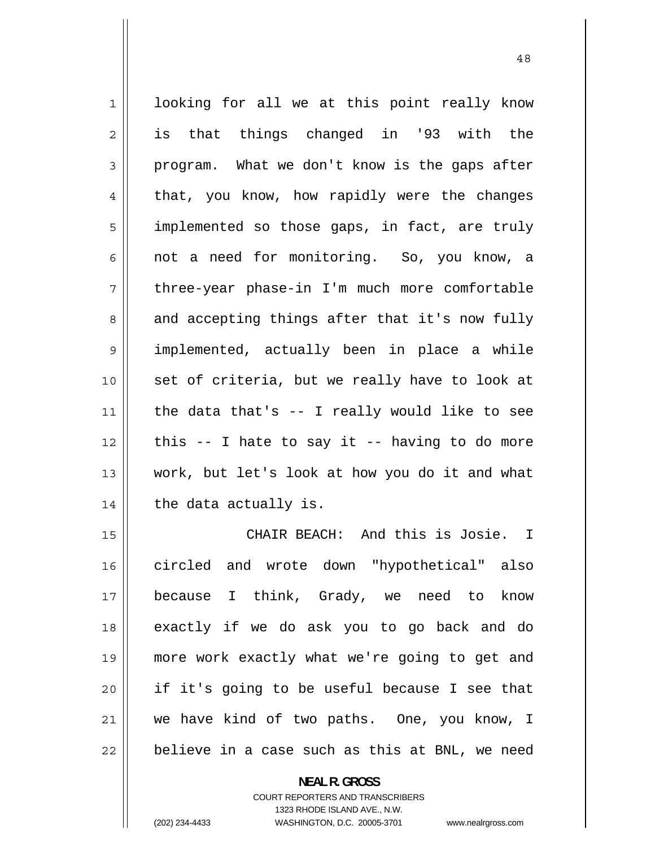1 looking for all we at this point really know 2 is that things changed in '93 with the 3 program. What we don't know is the gaps after 4 that, you know, how rapidly were the changes 5 implemented so those gaps, in fact, are truly 6 not a need for monitoring. So, you know, a 7 three-year phase-in I'm much more comfortable 8 and accepting things after that it's now fully 9 implemented, actually been in place a while 10 set of criteria, but we really have to look at 11 the data that's -- I really would like to see 12 this  $-$  I hate to say it  $-$  having to do more 13 work, but let's look at how you do it and what  $14$  | the data actually is. 15 CHAIR BEACH: And this is Josie. I circled and wrote down "hypothetical" also because I think, Grady, we need to know

16 17 18 exactly if we do ask you to go back and do 19 more work exactly what we're going to get and 20 if it's going to be useful because I see that 21 we have kind of two paths. One, you know, I 22 believe in a case such as this at BNL, we need

> **NEAL R. GROSS**  COURT REPORTERS AND TRANSCRIBERS 1323 RHODE ISLAND AVE., N.W. (202) 234-4433 WASHINGTON, D.C. 20005-3701 www.nealrgross.com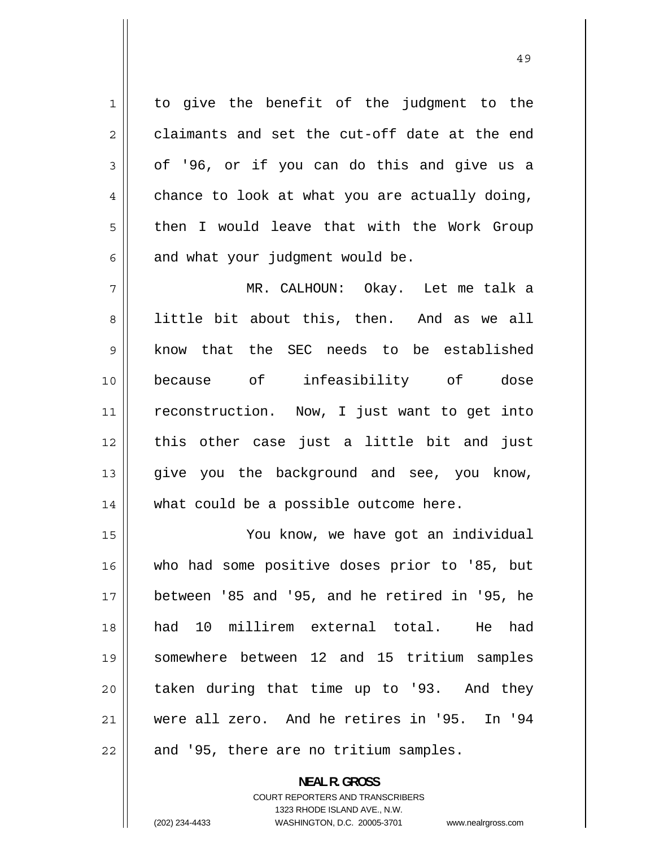1 to give the benefit of the judgment to the 2 claimants and set the cut-off date at the end 3 of '96, or if you can do this and give us a 4 chance to look at what you are actually doing, 5 then I would leave that with the Work Group 6 and what your judgment would be.

49

7 MR. CALHOUN: Okay. Let me talk a 8 little bit about this, then. And as we all 9 know that the SEC needs to be established 10 because of infeasibility of dose 11 reconstruction. Now, I just want to get into 12 this other case just a little bit and just 13 give you the background and see, you know, 14 || what could be a possible outcome here.

15 You know, we have got an individual 16 who had some positive doses prior to '85, but 17 between '85 and '95, and he retired in '95, he 18 had 10 millirem external total. He had 19 somewhere between 12 and 15 tritium samples 20 taken during that time up to '93. And they 21 were all zero. And he retires in '95. In '94  $22$  | and '95, there are no tritium samples.

> **NEAL R. GROSS**  COURT REPORTERS AND TRANSCRIBERS 1323 RHODE ISLAND AVE., N.W. (202) 234-4433 WASHINGTON, D.C. 20005-3701 www.nealrgross.com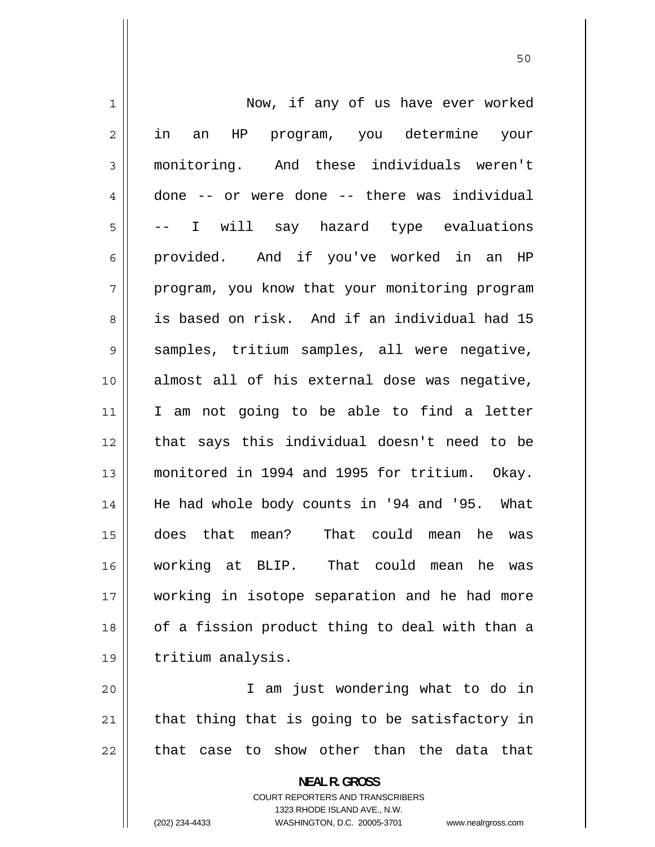| $\mathbf 1$    | Now, if any of us have ever worked                       |
|----------------|----------------------------------------------------------|
| $\overline{2}$ | HP program, you determine your<br>in<br>an               |
| 3              | monitoring. And these individuals weren't                |
| 4              | done -- or were done -- there was individual             |
| 5              | -- I will say hazard type evaluations                    |
| 6              | provided. And if you've worked in an HP                  |
| 7              | program, you know that your monitoring program           |
| 8              | is based on risk. And if an individual had 15            |
| $\mathsf 9$    | samples, tritium samples, all were negative,             |
| 10             | almost all of his external dose was negative,            |
| 11             | I am not going to be able to find a letter               |
| 12             | that says this individual doesn't need to be             |
| 13             | monitored in 1994 and 1995 for tritium. Okay.            |
| 14             | He had whole body counts in '94 and '95. What            |
| 15             | does that mean?<br>That could mean<br>he was             |
| 16             | working at BLIP. That could mean he was                  |
| 17             | working in isotope separation and he had more            |
| 18             | of a fission product thing to deal with than a           |
| 19             | tritium analysis.                                        |
| 20             | I am just wondering what to do in                        |
| 21             | that thing that is going to be satisfactory in           |
| 22             | that case to show other than the data that               |
|                | <b>NEAL R. GROSS</b><br>COURT REPORTERS AND TRANSCRIBERS |

1323 RHODE ISLAND AVE., N.W.

 $\prod$ 

(202) 234-4433 WASHINGTON, D.C. 20005-3701 www.nealrgross.com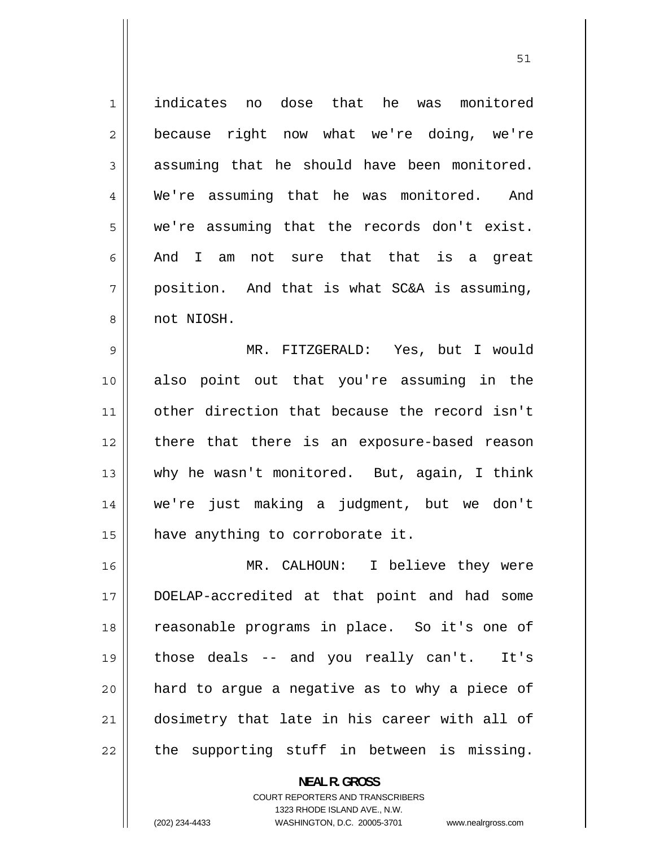1 indicates no dose that he was monitored 2 because right now what we're doing, we're 3 assuming that he should have been monitored. 4 We're assuming that he was monitored. And 5 we're assuming that the records don't exist. 6 And I am not sure that that is a great 7 position. And that is what SC&A is assuming, 8 not NIOSH. 9 MR. FITZGERALD: Yes, but I would 10 also point out that you're assuming in the 11 other direction that because the record isn't 12 there that there is an exposure-based reason 13 why he wasn't monitored. But, again, I think 14 we're just making a judgment, but we don't 15 | have anything to corroborate it. 16 MR. CALHOUN: I believe they were 17 DOELAP-accredited at that point and had some 18 reasonable programs in place. So it's one of 19 those deals -- and you really can't. It's 20 hard to argue a negative as to why a piece of

the supporting stuff in between is missing.

**NEAL R. GROSS**  COURT REPORTERS AND TRANSCRIBERS 1323 RHODE ISLAND AVE., N.W. (202) 234-4433 WASHINGTON, D.C. 20005-3701 www.nealrgross.com

dosimetry that late in his career with all of

21

22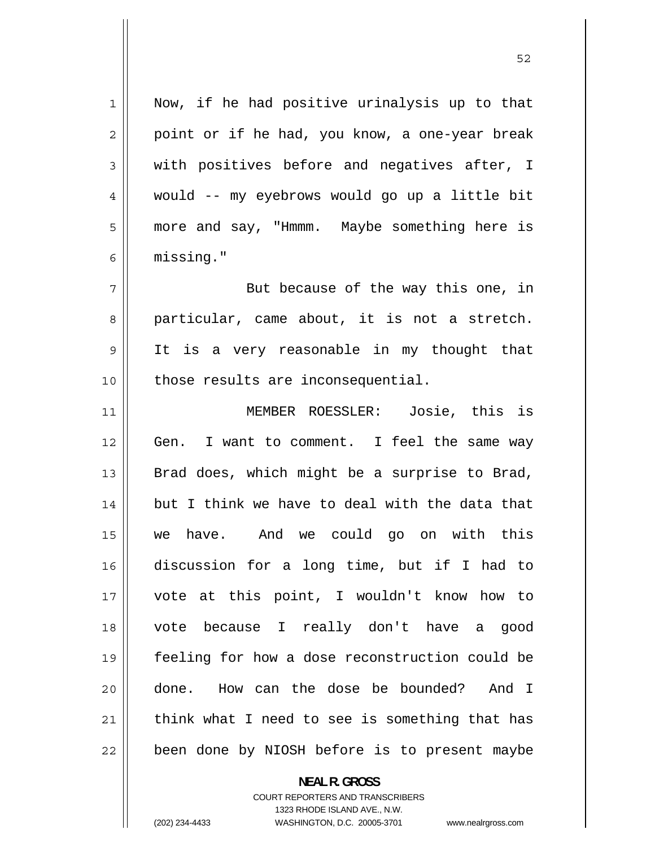| $\mathbf 1$    | Now, if he had positive urinalysis up to that  |
|----------------|------------------------------------------------|
| $\overline{2}$ | point or if he had, you know, a one-year break |
| $\mathsf 3$    | with positives before and negatives after, I   |
| 4              | would -- my eyebrows would go up a little bit  |
| 5              | more and say, "Hmmm. Maybe something here is   |
| 6              | missing."                                      |
| 7              | But because of the way this one, in            |
| 8              | particular, came about, it is not a stretch.   |
| $\mathsf 9$    | It is a very reasonable in my thought that     |
| 10             | those results are inconsequential.             |
| 11             | MEMBER ROESSLER: Josie, this is                |
| 12             | I want to comment. I feel the same way<br>Gen. |
| 13             | Brad does, which might be a surprise to Brad,  |
| 14             | but I think we have to deal with the data that |
| 15             | we have. And we could go on with this          |
| 16             | discussion for a long time, but if I had to    |
| 17             | vote at this point, I wouldn't know how to     |
| 18             | vote because I really don't have a good        |
| 19             | feeling for how a dose reconstruction could be |
| 20             | done. How can the dose be bounded? And I       |
| 21             | think what I need to see is something that has |
| 22             | been done by NIOSH before is to present maybe  |

**NEAL R. GROSS**  COURT REPORTERS AND TRANSCRIBERS

1323 RHODE ISLAND AVE., N.W.

 $\mathsf{I}$ 

(202) 234-4433 WASHINGTON, D.C. 20005-3701 www.nealrgross.com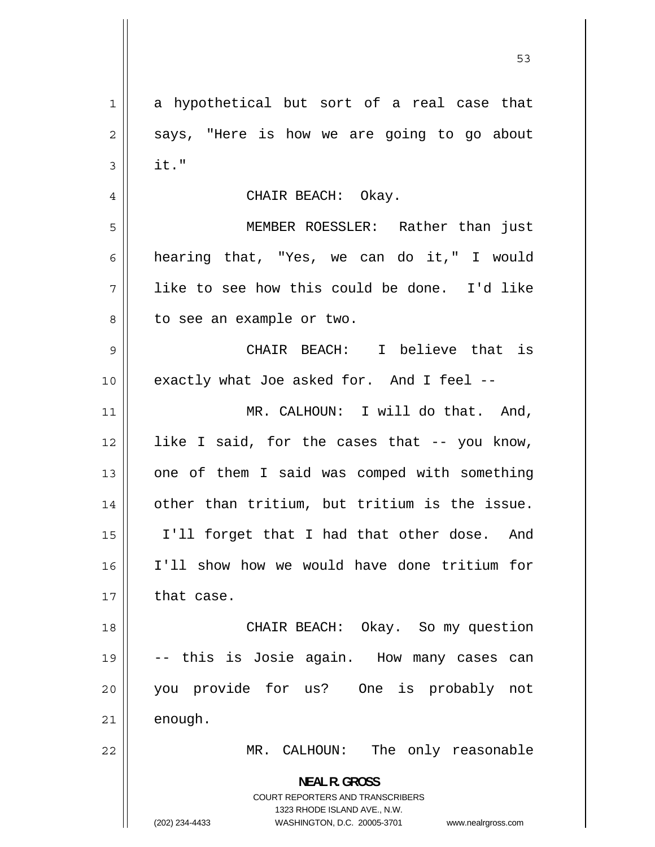1 a hypothetical but sort of a real case that 2 says, "Here is how we are going to go about 3 it." 4 CHAIR BEACH: Okay. 5 MEMBER ROESSLER: Rather than just 6 hearing that, "Yes, we can do it," I would 7 like to see how this could be done. I'd like 8 to see an example or two. 9 CHAIR BEACH: I believe that is 10 || exactly what Joe asked for. And I feel --11 MR. CALHOUN: I will do that. And, 12 like I said, for the cases that -- you know, 13 one of them I said was comped with something 14 other than tritium, but tritium is the issue. 15 I'll forget that I had that other dose. And 16 I'll show how we would have done tritium for 17 that case. 18 || CHAIR BEACH: Okay. So my question 19 -- this is Josie again. How many cases can 20 you provide for us? One is probably not  $21$  enough. 22 MR. CALHOUN: The only reasonable **NEAL R. GROSS**  COURT REPORTERS AND TRANSCRIBERS 1323 RHODE ISLAND AVE., N.W. (202) 234-4433 WASHINGTON, D.C. 20005-3701 www.nealrgross.com

 $\sim$  53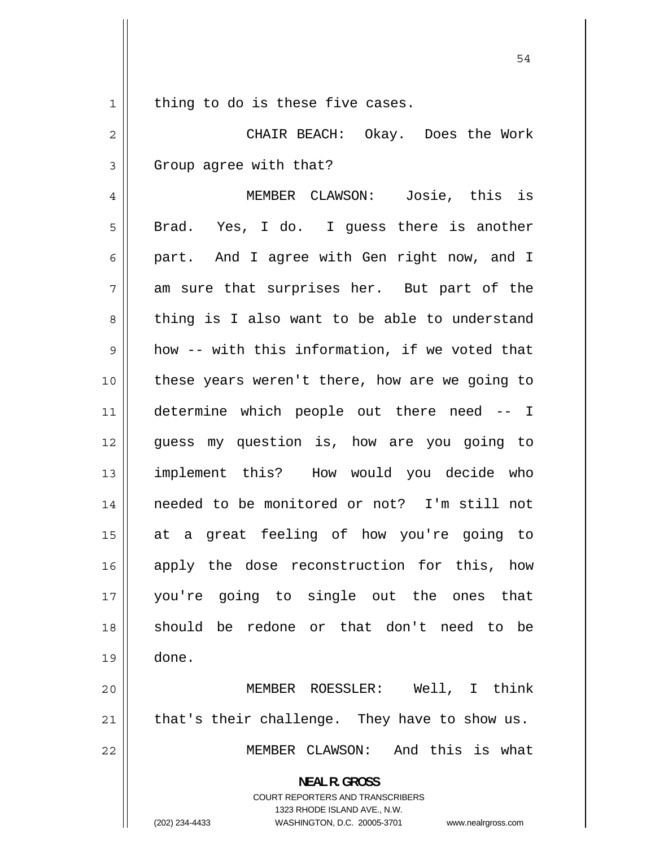| $\mathbf 1$ | thing to do is these five cases.               |
|-------------|------------------------------------------------|
| 2           | CHAIR BEACH: Okay. Does the Work               |
| 3           | Group agree with that?                         |
| 4           | MEMBER CLAWSON: Josie, this is                 |
| 5           | Brad. Yes, I do. I guess there is another      |
| 6           | part. And I agree with Gen right now, and I    |
| 7           | am sure that surprises her. But part of the    |
| 8           | thing is I also want to be able to understand  |
| 9           | how -- with this information, if we voted that |
| 10          | these years weren't there, how are we going to |
| 11          | determine which people out there need -- I     |
| 12          | guess my question is, how are you going to     |
| 13          | implement this? How would you decide who       |
| 14          | needed to be monitored or not? I'm still not   |
| 15          | at a great feeling of how you're going to      |
| 16          | apply the dose reconstruction for this, how    |
| 17          | you're going to single out the ones that       |
| 18          | should be redone or that don't need to be      |
| 19          | done.                                          |
| 20          | MEMBER ROESSLER: Well, I think                 |
| 21          | that's their challenge. They have to show us.  |
| 22          | MEMBER CLAWSON: And this is what               |
|             | <b>NEAL R. GROSS</b>                           |

COURT REPORTERS AND TRANSCRIBERS 1323 RHODE ISLAND AVE., N.W.

 $\mathsf{II}$ 

(202) 234-4433 WASHINGTON, D.C. 20005-3701 www.nealrgross.com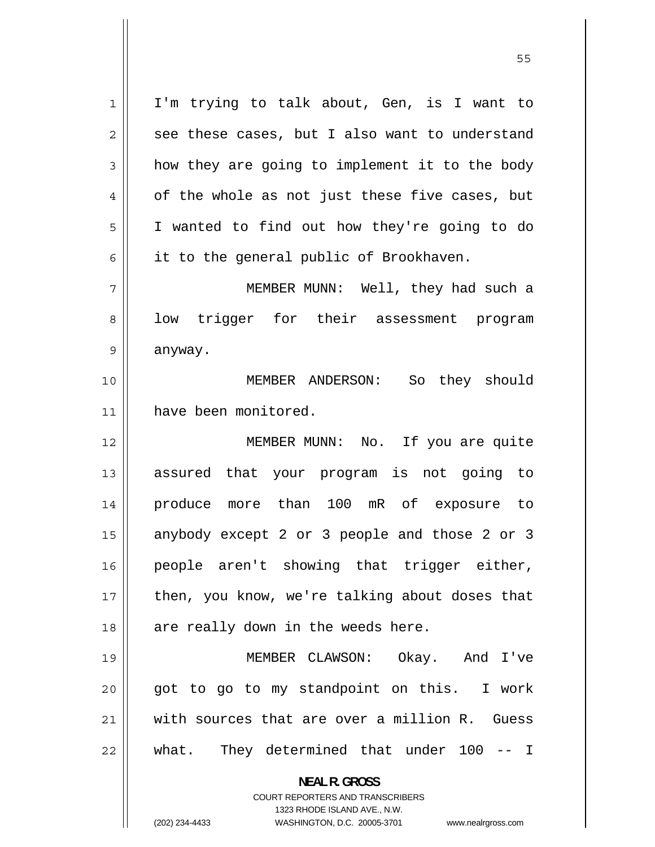1 I'm trying to talk about, Gen, is I want to 2 see these cases, but I also want to understand 3 how they are going to implement it to the body [4](#page-3-0) of the whole as not just these five cases, but [5](#page-4-0) I wanted to find out how they're going to do [6](#page-5-0) it to the general public of Brookhaven. [7](#page-6-0) MEMBER MUNN: Well, they had such a [8](#page-7-0) low trigger for their assessment program [9](#page-8-0) anyway. [10](#page-9-0) MEMBER ANDERSON: So they should [11](#page-10-0) have been monitored. [12](#page-11-0) MEMBER MUNN: No. If you are quite [13](#page-12-0) assured that your program is not going to [14](#page-13-0) produce more than 100 mR of exposure to [15](#page-14-0) anybody except 2 or 3 people and those 2 or 3 [16](#page-15-0) people aren't showing that trigger either, [17](#page-16-0) then, you know, we're talking about doses that [18](#page-17-0) are really down in the weeds here. [19](#page-18-0) MEMBER CLAWSON: Okay. And I've [20](#page-19-0) got to go to my standpoint on this. I work [21](#page-20-0) with sources that are over a million R. Guess [22](#page-21-0) what. They determined that under 100 -- I **NEAL R. GROSS**  COURT REPORTERS AND TRANSCRIBERS 1323 RHODE ISLAND AVE., N.W.

(202) 234-4433 WASHINGTON, D.C. 20005-3701 www.nealrgross.com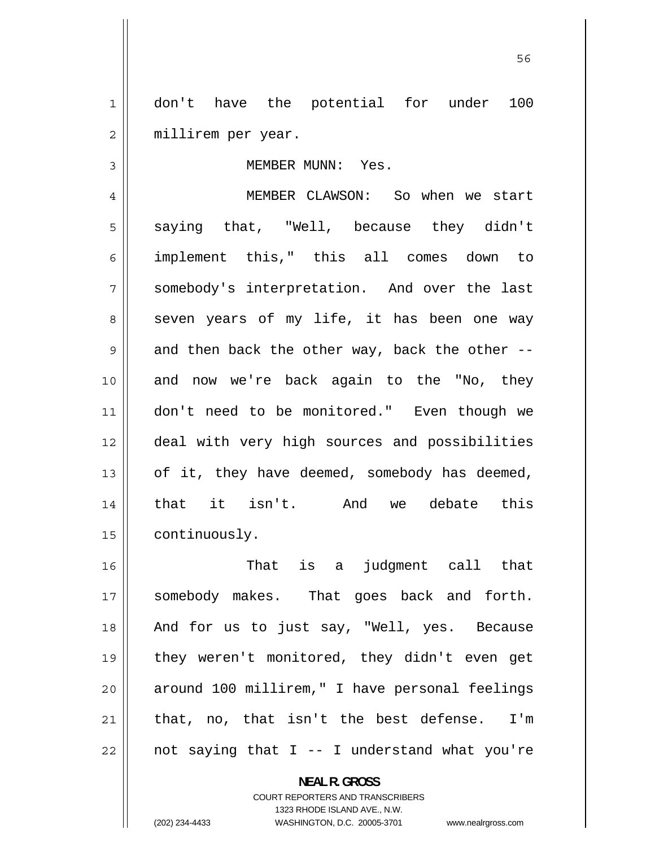1 don't have the potential for under 100 2 millirem per year.

#### MEMBER MUNN: Yes.

3

4 MEMBER CLAWSON: So when we start 5 saying that, "Well, because they didn't 6 implement this," this all comes down to 7 somebody's interpretation. And over the last 8 seven years of my life, it has been one way 9 and then back the other way, back the other -- 10 and now we're back again to the "No, they 11 don't need to be monitored." Even though we 12 deal with very high sources and possibilities 13 of it, they have deemed, somebody has deemed, 14 that it isn't. And we debate this 15 | continuously.

16 That is a judgment call that 17 somebody makes. That goes back and forth. 18 And for us to just say, "Well, yes. Because 19 they weren't monitored, they didn't even get 20 around 100 millirem," I have personal feelings 21 that, no, that isn't the best defense. I'm 22 not saying that I -- I understand what you're

**NEAL R. GROSS** 

COURT REPORTERS AND TRANSCRIBERS 1323 RHODE ISLAND AVE., N.W. (202) 234-4433 WASHINGTON, D.C. 20005-3701 www.nealrgross.com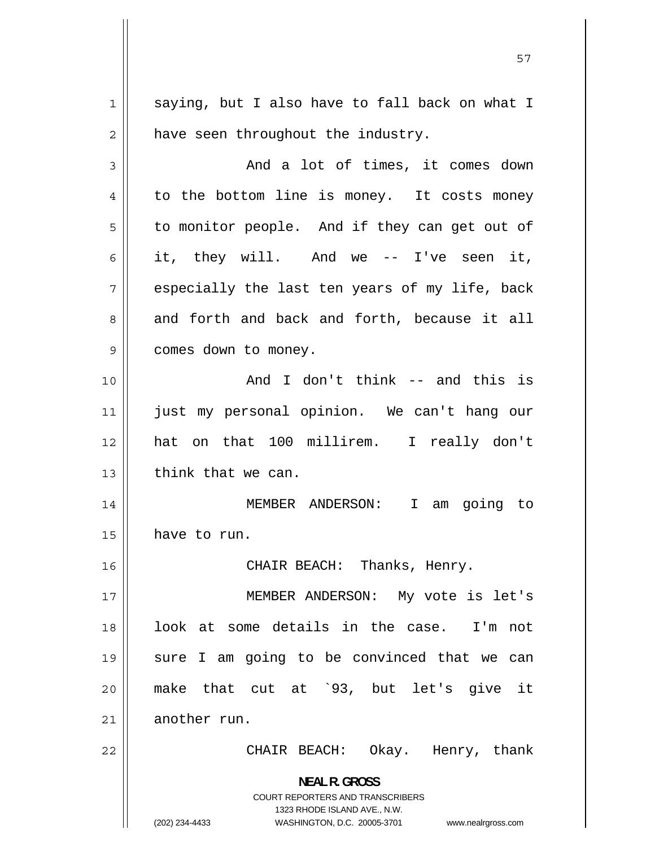1 saying, but I also have to fall back on what I 2 have seen throughout the industry.

3 And a lot of times, it comes down 4 to the bottom line is money. It costs money 5 to monitor people. And if they can get out of 6 it, they will. And we -- I've seen it, 7 especially the last ten years of my life, back 8 and forth and back and forth, because it all 9 comes down to money. 10 And I don't think -- and this is 11 just my personal opinion. We can't hang our

12 hat on that 100 millirem. I really don't 13  $\parallel$  think that we can.

14 MEMBER ANDERSON: I am going to  $15$  have to run.

16 CHAIR BEACH: Thanks, Henry.

17 MEMBER ANDERSON: My vote is let's 18 look at some details in the case. I'm not 19 sure I am going to be convinced that we can 20 make that cut at `93, but let's give it  $21$  another run.

CHAIR BEACH: Okay. Henry, thank

COURT REPORTERS AND TRANSCRIBERS 1323 RHODE ISLAND AVE., N.W.

**NEAL R. GROSS** 

22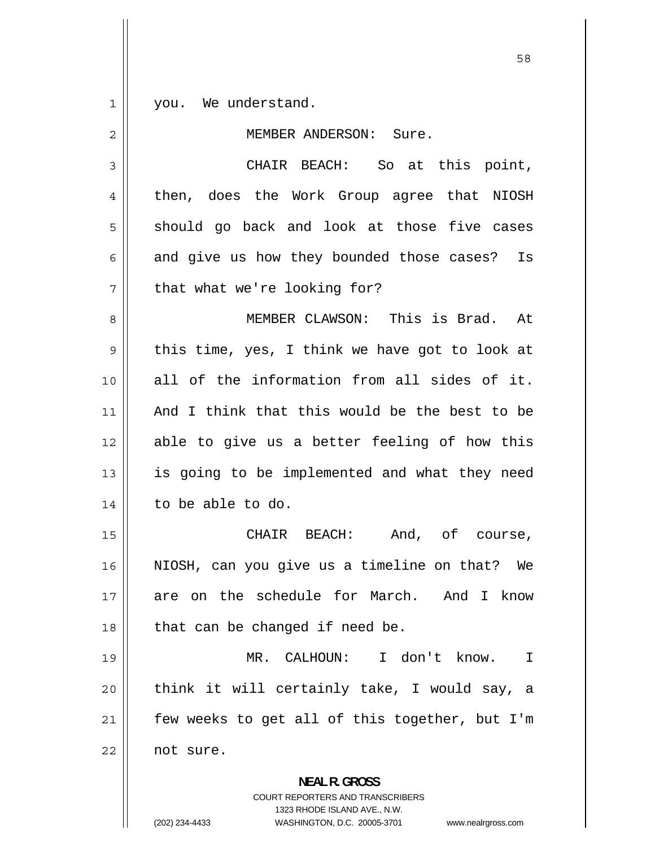1

2

you. We understand.

MEMBER ANDERSON: Sure.

3 CHAIR BEACH: So at this point, 4 then, does the Work Group agree that NIOSH 5 should go back and look at those five cases 6 and give us how they bounded those cases? Is 7 that what we're looking for? 8 MEMBER CLAWSON: This is Brad. At 9 this time, yes, I think we have got to look at 10 all of the information from all sides of it. 11 And I think that this would be the best to be 12 able to give us a better feeling of how this 13 is going to be implemented and what they need 14 | to be able to do. 15 CHAIR BEACH: And, of course, 16 NIOSH, can you give us a timeline on that? We

17 are on the schedule for March. And I know  $18$  | that can be changed if need be.

19 MR. CALHOUN: I don't know. I 20 think it will certainly take, I would say, a 21 few weeks to get all of this together, but I'm 22 || not sure.

> **NEAL R. GROSS**  COURT REPORTERS AND TRANSCRIBERS 1323 RHODE ISLAND AVE., N.W.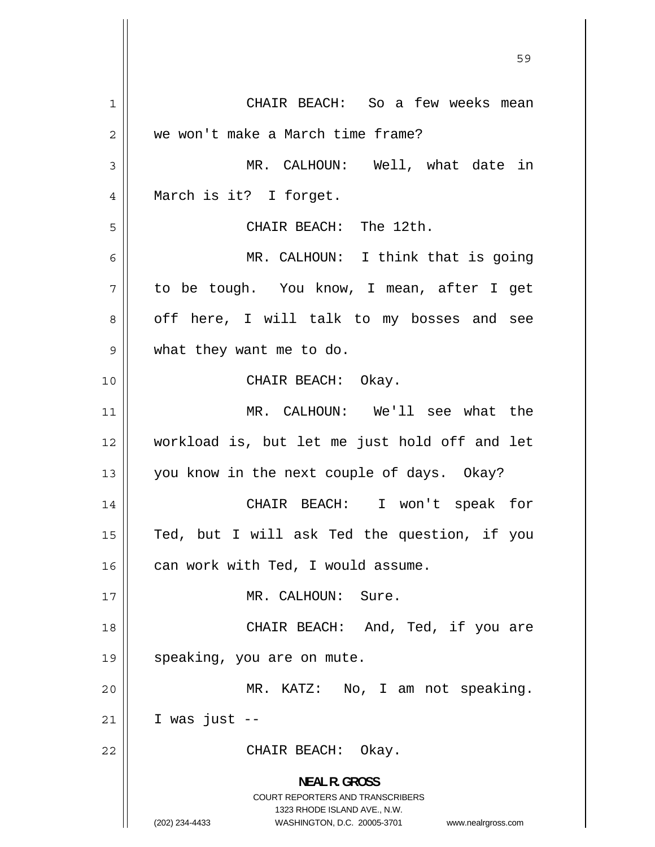1 CHAIR BEACH: So a few weeks mean 2 we won't make a March time frame? 3 MR. CALHOUN: Well, what date in 4 March is it? I forget. 5 CHAIR BEACH: The 12th. 6 MR. CALHOUN: I think that is going 7 to be tough. You know, I mean, after I get 8 off here, I will talk to my bosses and see 9 what they want me to do. 10 || CHAIR BEACH: Okay. 11 MR. CALHOUN: We'll see what the 12 workload is, but let me just hold off and let 13 || you know in the next couple of days. Okay? 14 CHAIR BEACH: I won't speak for 15 Ted, but I will ask Ted the question, if you 16 | can work with Ted, I would assume. 17 MR. CALHOUN: Sure. 18 CHAIR BEACH: And, Ted, if you are 19 || speaking, you are on mute. 20 MR. KATZ: No, I am not speaking.  $21$  | I was just  $-$ 22 || CHAIR BEACH: Okay. **NEAL R. GROSS**  COURT REPORTERS AND TRANSCRIBERS 1323 RHODE ISLAND AVE., N.W. (202) 234-4433 WASHINGTON, D.C. 20005-3701 www.nealrgross.com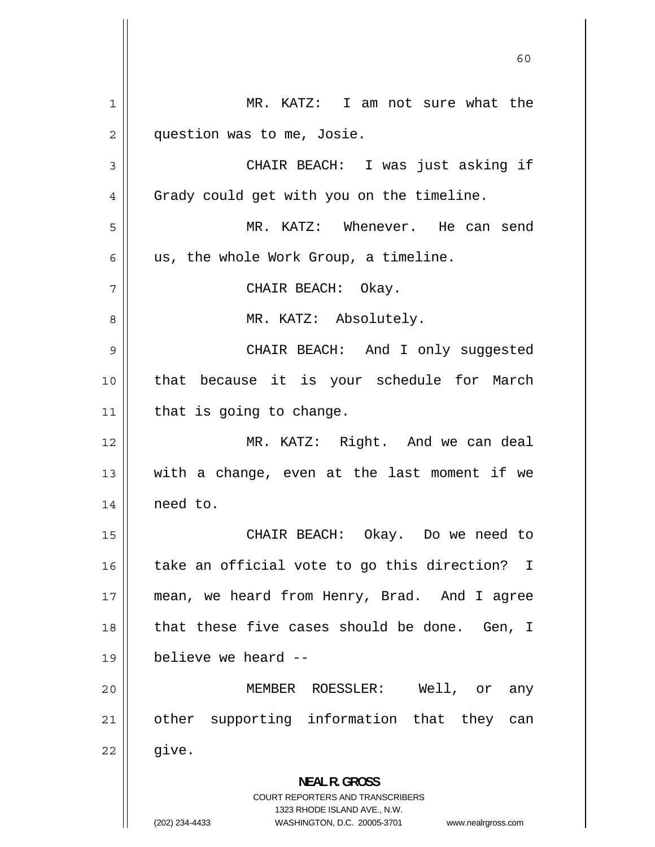1 MR. KATZ: I am not sure what the 2 question was to me, Josie. 3 CHAIR BEACH: I was just asking if 4 Grady could get with you on the timeline. 5 MR. KATZ: Whenever. He can send 6 us, the whole Work Group, a timeline. 7 CHAIR BEACH: Okay. 8 MR. KATZ: Absolutely. 9 CHAIR BEACH: And I only suggested 10 that because it is your schedule for March  $11$  | that is going to change. 12 MR. KATZ: Right. And we can deal 13 with a change, even at the last moment if we  $14$  || need to. 15 CHAIR BEACH: Okay. Do we need to 16 take an official vote to go this direction? I 17 mean, we heard from Henry, Brad. And I agree 18 that these five cases should be done. Gen, I 19 believe we heard -- 20 MEMBER ROESSLER: Well, or any 21 other supporting information that they can  $22 \parallel$  give. **NEAL R. GROSS**  COURT REPORTERS AND TRANSCRIBERS 1323 RHODE ISLAND AVE., N.W. (202) 234-4433 WASHINGTON, D.C. 20005-3701 www.nealrgross.com

 $\sim$  60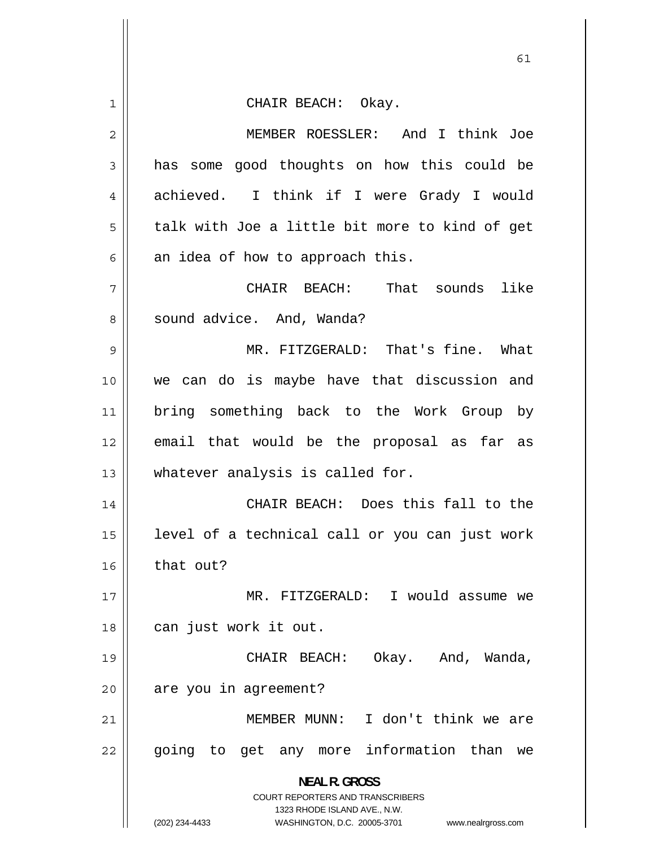| $\mathbf 1$ | CHAIR BEACH: Okay.                                                                                  |
|-------------|-----------------------------------------------------------------------------------------------------|
| 2           | MEMBER ROESSLER: And I think Joe                                                                    |
| 3           | has some good thoughts on how this could be                                                         |
| 4           | achieved. I think if I were Grady I would                                                           |
| 5           | talk with Joe a little bit more to kind of get                                                      |
| 6           | an idea of how to approach this.                                                                    |
| 7           | CHAIR BEACH: That sounds like                                                                       |
| 8           | sound advice. And, Wanda?                                                                           |
| 9           | MR. FITZGERALD: That's fine. What                                                                   |
| 10          | we can do is maybe have that discussion and                                                         |
| 11          | bring something back to the Work Group by                                                           |
| 12          | email that would be the proposal as far as                                                          |
| 13          | whatever analysis is called for.                                                                    |
| 14          | CHAIR BEACH: Does this fall to the                                                                  |
| 15          | level of a technical call or you can just work                                                      |
| 16          | that out?                                                                                           |
| 17          | MR. FITZGERALD: I would assume we                                                                   |
| 18          | can just work it out.                                                                               |
| 19          | CHAIR BEACH: Okay. And, Wanda,                                                                      |
| 20          | are you in agreement?                                                                               |
| 21          | MEMBER MUNN: I don't think we are                                                                   |
| 22          | going to get any more information than<br>we                                                        |
|             | <b>NEAL R. GROSS</b>                                                                                |
|             | <b>COURT REPORTERS AND TRANSCRIBERS</b>                                                             |
|             | 1323 RHODE ISLAND AVE., N.W.<br>WASHINGTON, D.C. 20005-3701<br>(202) 234-4433<br>www.nealrgross.com |

 $\mathbf{I}$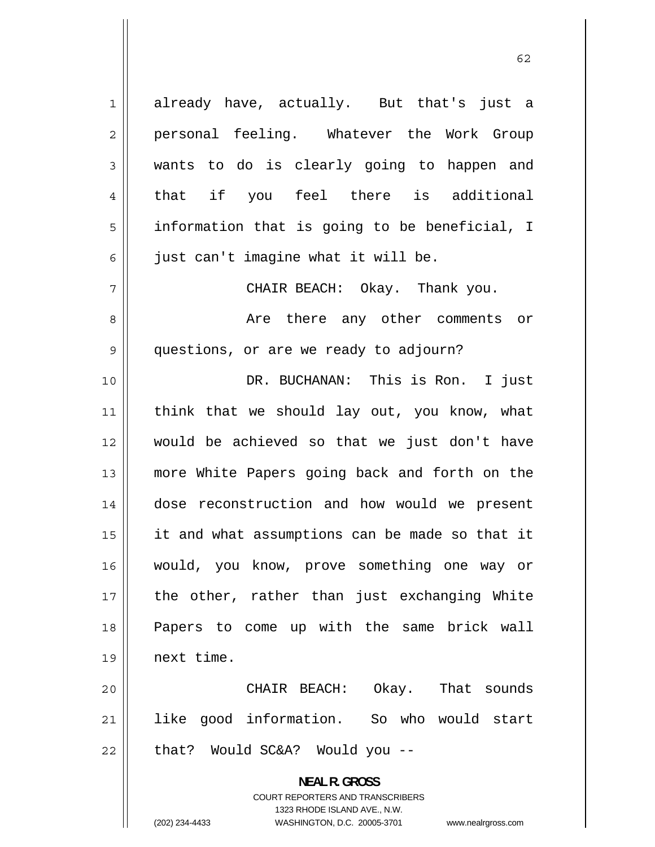1 already have, actually. But that's just a 2 personal feeling. Whatever the Work Group 3 wants to do is clearly going to happen and 4 that if you feel there is additional 5 information that is going to be beneficial, I 6 just can't imagine what it will be. 7 CHAIR BEACH: Okay. Thank you. 8 Are there any other comments or 9 questions, or are we ready to adjourn? 10 DR. BUCHANAN: This is Ron. I just 11 think that we should lay out, you know, what 12 would be achieved so that we just don't have 13 more White Papers going back and forth on the 14 dose reconstruction and how would we present 15 it and what assumptions can be made so that it 16 would, you know, prove something one way or 17 the other, rather than just exchanging White 18 Papers to come up with the same brick wall 19 next time. 20 CHAIR BEACH: Okay. That sounds 21 like good information. So who would start  $22$  || that? Would SC&A? Would you  $-$ **NEAL R. GROSS**  COURT REPORTERS AND TRANSCRIBERS 1323 RHODE ISLAND AVE., N.W.

(202) 234-4433 WASHINGTON, D.C. 20005-3701 www.nealrgross.com

 $\sim$  62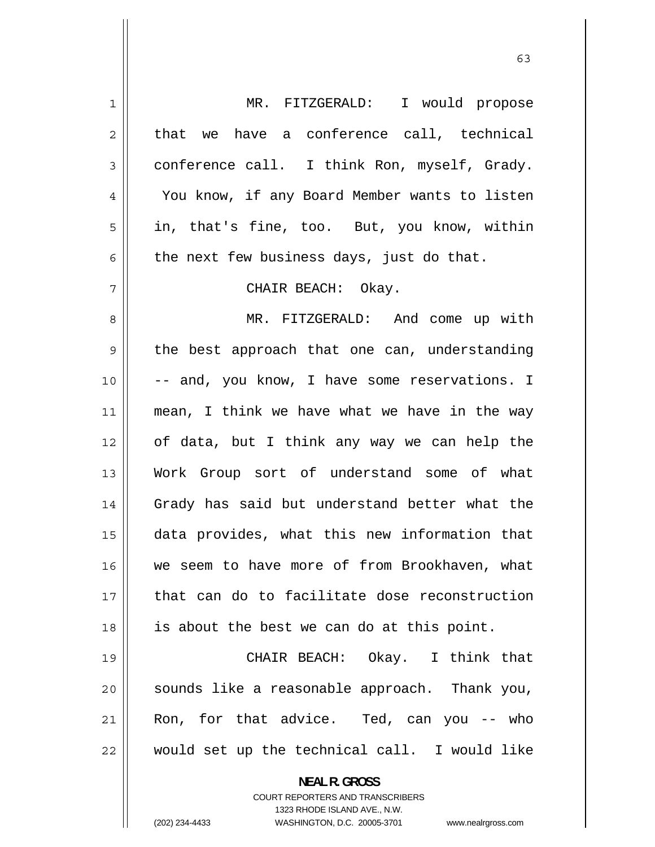| $\mathbf 1$ | MR. FITZGERALD: I would propose                                     |
|-------------|---------------------------------------------------------------------|
| 2           | that we have a conference call, technical                           |
| 3           | conference call. I think Ron, myself, Grady.                        |
| 4           | You know, if any Board Member wants to listen                       |
| 5           | in, that's fine, too. But, you know, within                         |
| 6           | the next few business days, just do that.                           |
| 7           | CHAIR BEACH: Okay.                                                  |
| 8           | MR. FITZGERALD: And come up with                                    |
| 9           | the best approach that one can, understanding                       |
| 10          | -- and, you know, I have some reservations. I                       |
| 11          | mean, I think we have what we have in the way                       |
| 12          | of data, but I think any way we can help the                        |
| 13          | Work Group sort of understand some of what                          |
| 14          | Grady has said but understand better what the                       |
| 15          | data provides, what this new information that                       |
| 16          | we seem to have more of from Brookhaven, what                       |
| 17          | that can do to facilitate dose reconstruction                       |
| 18          | is about the best we can do at this point.                          |
| 19          | CHAIR BEACH: Okay. I think that                                     |
| 20          | sounds like a reasonable approach. Thank you,                       |
| 21          | Ron, for that advice. Ted, can you -- who                           |
| 22          | would set up the technical call. I would like                       |
|             | <b>NEAL R. GROSS</b>                                                |
|             | <b>COURT REPORTERS AND TRANSCRIBERS</b>                             |
|             | 1323 RHODE ISLAND AVE., N.W.                                        |
|             | (202) 234-4433<br>WASHINGTON, D.C. 20005-3701<br>www.nealrgross.com |

 $\sim$  63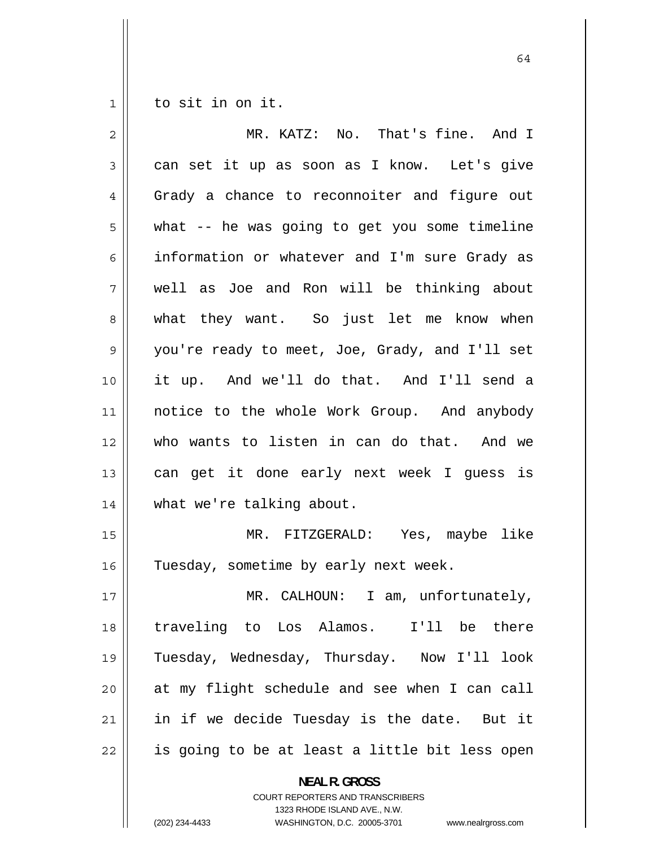1 to sit in on it.

| $\overline{2}$ | MR. KATZ: No. That's fine. And I               |
|----------------|------------------------------------------------|
| 3              | can set it up as soon as I know. Let's give    |
| 4              | Grady a chance to reconnoiter and figure out   |
| 5              | what -- he was going to get you some timeline  |
| 6              | information or whatever and I'm sure Grady as  |
| 7              | well as Joe and Ron will be thinking about     |
| 8              | what they want. So just let me know when       |
| 9              | you're ready to meet, Joe, Grady, and I'll set |
| 10             | it up. And we'll do that. And I'll send a      |
| 11             | notice to the whole Work Group. And anybody    |
| 12             | who wants to listen in can do that. And we     |
| 13             | can get it done early next week I guess is     |
| 14             | what we're talking about.                      |
| 15             | MR. FITZGERALD: Yes, maybe like                |
| 16             | Tuesday, sometime by early next week.          |
| 17             | MR. CALHOUN: I am, unfortunately,              |
| 18             | traveling to Los Alamos. I'll be there         |
| 19             | Tuesday, Wednesday, Thursday. Now I'll look    |
| 20             | at my flight schedule and see when I can call  |
| 21             | in if we decide Tuesday is the date. But it    |
| 22             | is going to be at least a little bit less open |
|                | <b>NEAL R. GROSS</b>                           |

COURT REPORTERS AND TRANSCRIBERS 1323 RHODE ISLAND AVE., N.W.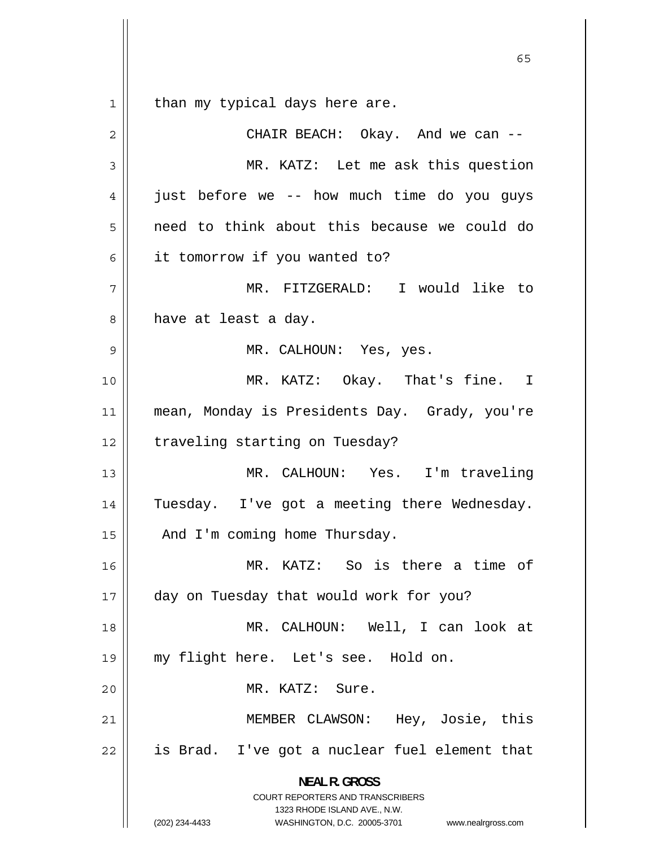1 than my typical days here are. 2 CHAIR BEACH: Okay. And we can -- 3 MR. KATZ: Let me ask this question 4 just before we -- how much time do you guys 5 need to think about this because we could do 6 it tomorrow if you wanted to? 7 MR. FITZGERALD: I would like to 8 have at least a day. 9 MR. CALHOUN: Yes, yes. 10 MR. KATZ: Okay. That's fine. I 11 mean, Monday is Presidents Day. Grady, you're 12 | traveling starting on Tuesday? 13 MR. CALHOUN: Yes. I'm traveling 14 Tuesday. I've got a meeting there Wednesday.  $15$  | And I'm coming home Thursday. 16 MR. KATZ: So is there a time of 17 day on Tuesday that would work for you? 18 MR. CALHOUN: Well, I can look at 19 my flight here. Let's see. Hold on. 20 MR. KATZ: Sure. 21 MEMBER CLAWSON: Hey, Josie, this 22 is Brad. I've got a nuclear fuel element that **NEAL R. GROSS**  COURT REPORTERS AND TRANSCRIBERS 1323 RHODE ISLAND AVE., N.W.

<sup>(202) 234-4433</sup> WASHINGTON, D.C. 20005-3701 www.nealrgross.com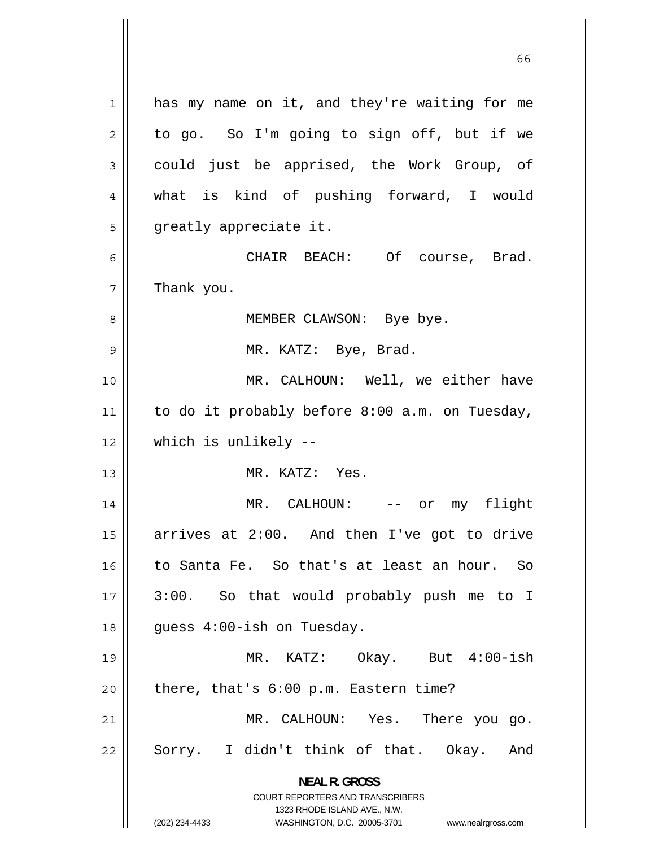1 has my name on it, and they're waiting for me 2 to go. So I'm going to sign off, but if we 3 could just be apprised, the Work Group, of 4 what is kind of pushing forward, I would 5 greatly appreciate it. 6 CHAIR BEACH: Of course, Brad. 7 Thank you. 8 MEMBER CLAWSON: Bye bye. 9 MR. KATZ: Bye, Brad. 10 MR. CALHOUN: Well, we either have 11 to do it probably before 8:00 a.m. on Tuesday, 12 which is unlikely -- 13 MR. KATZ: Yes. 14 MR. CALHOUN: -- or my flight 15 arrives at 2:00. And then I've got to drive 16 to Santa Fe. So that's at least an hour. So 17 3:00. So that would probably push me to I 18 || guess 4:00-ish on Tuesday. 19 MR. KATZ: Okay. But 4:00-ish  $20$  || there, that's  $6:00$  p.m. Eastern time? 21 MR. CALHOUN: Yes. There you go. 22 Sorry. I didn't think of that. Okay. And **NEAL R. GROSS**  COURT REPORTERS AND TRANSCRIBERS 1323 RHODE ISLAND AVE., N.W. (202) 234-4433 WASHINGTON, D.C. 20005-3701 www.nealrgross.com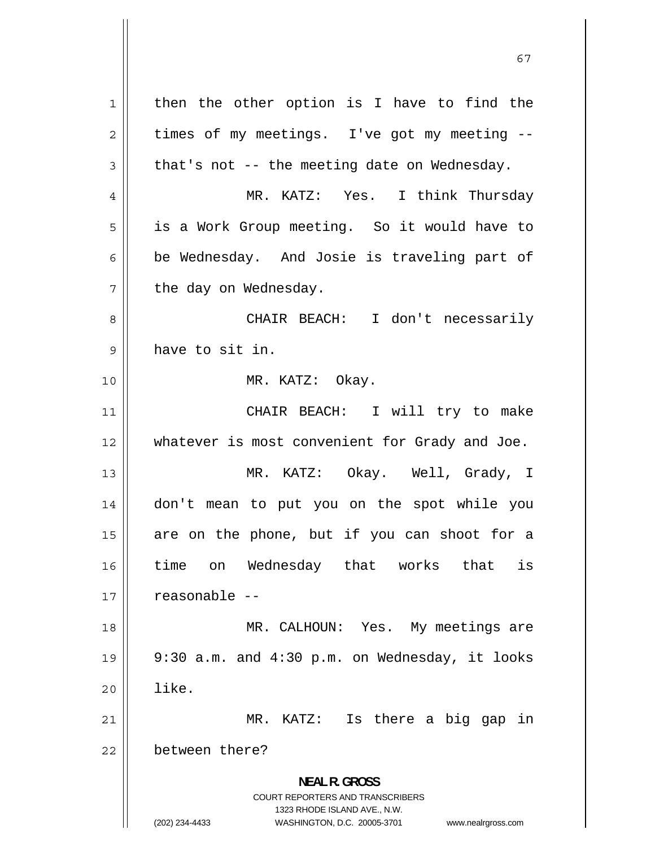1 then the other option is I have to find the 2 times of my meetings. I've got my meeting -- 3 that's not -- the meeting date on Wednesday. 4 MR. KATZ: Yes. I think Thursday 5 is a Work Group meeting. So it would have to 6 be Wednesday. And Josie is traveling part of 7 the day on Wednesday. 8 CHAIR BEACH: I don't necessarily 9 have to sit in. 10 MR. KATZ: Okay. 11 CHAIR BEACH: I will try to make 12 whatever is most convenient for Grady and Joe. 13 MR. KATZ: Okay. Well, Grady, I 14 don't mean to put you on the spot while you 15 are on the phone, but if you can shoot for a 16 time on Wednesday that works that is 17 | reasonable --18 MR. CALHOUN: Yes. My meetings are 19 9:30 a.m. and 4:30 p.m. on Wednesday, it looks  $20$   $\parallel$   $1$   $\text{like}$ . 21 MR. KATZ: Is there a big gap in 22 between there? **NEAL R. GROSS**  COURT REPORTERS AND TRANSCRIBERS 1323 RHODE ISLAND AVE., N.W. (202) 234-4433 WASHINGTON, D.C. 20005-3701 www.nealrgross.com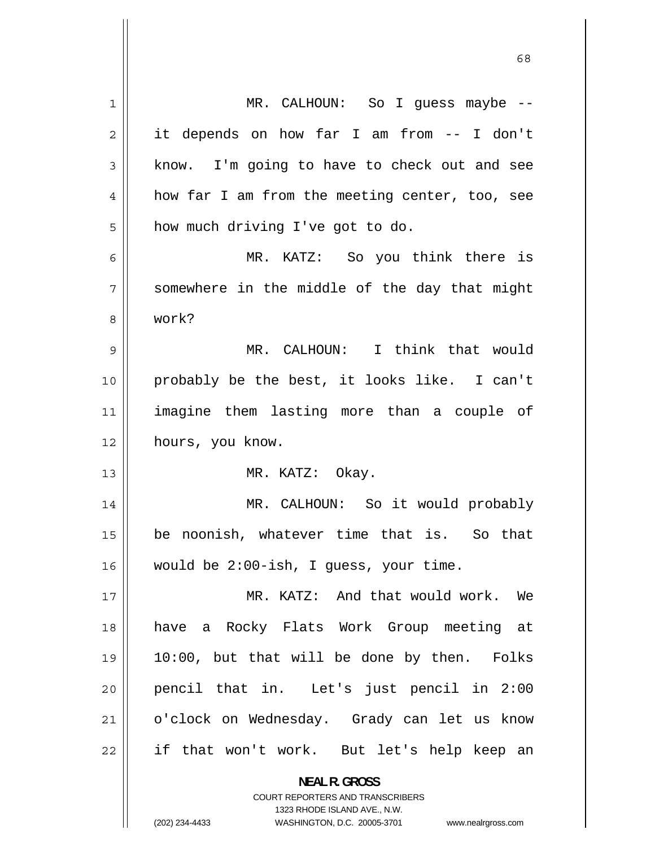| 1  | MR. CALHOUN: So I guess maybe --                                                                    |
|----|-----------------------------------------------------------------------------------------------------|
| 2  | it depends on how far I am from -- I don't                                                          |
| 3  | know. I'm going to have to check out and see                                                        |
| 4  | how far I am from the meeting center, too, see                                                      |
| 5  | how much driving I've got to do.                                                                    |
| 6  | MR. KATZ: So you think there is                                                                     |
| 7  | somewhere in the middle of the day that might                                                       |
| 8  | work?                                                                                               |
| 9  | MR. CALHOUN: I think that would                                                                     |
| 10 | probably be the best, it looks like. I can't                                                        |
| 11 | imagine them lasting more than a couple of                                                          |
| 12 | hours, you know.                                                                                    |
| 13 | MR. KATZ: Okay.                                                                                     |
| 14 | MR. CALHOUN: So it would probably                                                                   |
| 15 | be noonish, whatever time that is. So that                                                          |
| 16 | would be 2:00-ish, I guess, your time.                                                              |
| 17 | MR. KATZ: And that would work. We                                                                   |
| 18 | have a Rocky Flats Work Group meeting at                                                            |
| 19 | $10:00$ , but that will be done by then. Folks                                                      |
| 20 | pencil that in. Let's just pencil in 2:00                                                           |
| 21 | o'clock on Wednesday. Grady can let us know                                                         |
| 22 | if that won't work. But let's help keep an                                                          |
|    | <b>NEAL R. GROSS</b>                                                                                |
|    | <b>COURT REPORTERS AND TRANSCRIBERS</b>                                                             |
|    | 1323 RHODE ISLAND AVE., N.W.<br>(202) 234-4433<br>WASHINGTON, D.C. 20005-3701<br>www.nealrgross.com |
|    |                                                                                                     |

 $\sim$  68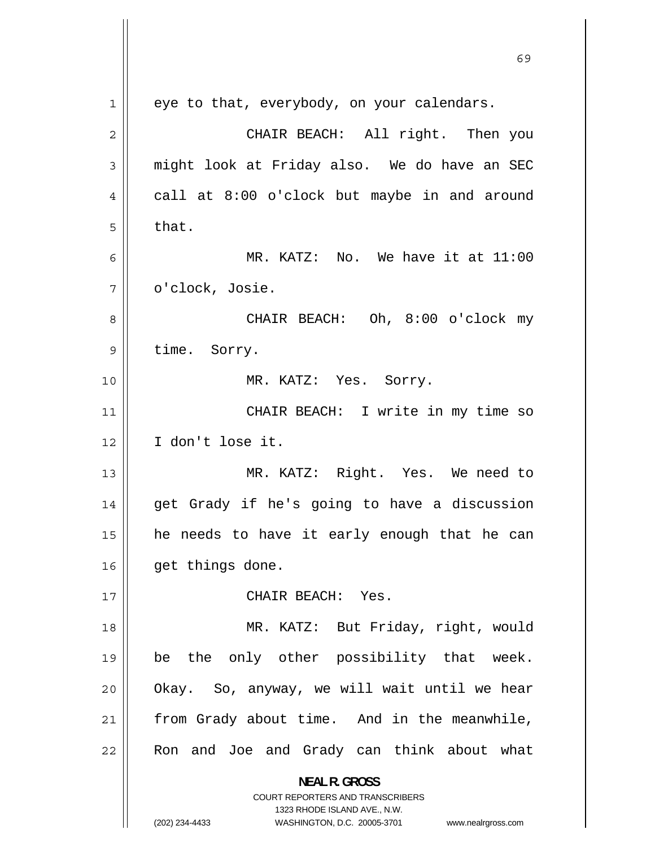|    | 69                                                                  |
|----|---------------------------------------------------------------------|
| 1  | eye to that, everybody, on your calendars.                          |
| 2  | CHAIR BEACH: All right. Then you                                    |
| 3  | might look at Friday also. We do have an SEC                        |
| 4  | call at 8:00 o'clock but maybe in and around                        |
| 5  | that.                                                               |
| 6  | MR. KATZ: No. We have it at 11:00                                   |
| 7  | o'clock, Josie.                                                     |
| 8  | CHAIR BEACH: Oh, 8:00 o'clock my                                    |
| 9  | time. Sorry.                                                        |
| 10 | MR. KATZ: Yes. Sorry.                                               |
| 11 | CHAIR BEACH: I write in my time so                                  |
| 12 | I don't lose it.                                                    |
| 13 | MR. KATZ: Right. Yes. We need to                                    |
| 14 | get Grady if he's going to have a discussion                        |
| 15 | he needs to have it early enough that he can                        |
| 16 | get things done.                                                    |
| 17 | CHAIR BEACH: Yes.                                                   |
| 18 | MR. KATZ: But Friday, right, would                                  |
| 19 | be the only other possibility that week.                            |
| 20 | Okay. So, anyway, we will wait until we hear                        |
| 21 | from Grady about time. And in the meanwhile,                        |
| 22 | Ron and Joe and Grady can think about what                          |
|    | <b>NEAL R. GROSS</b><br>COURT REPORTERS AND TRANSCRIBERS            |
|    | 1323 RHODE ISLAND AVE., N.W.                                        |
|    | (202) 234-4433<br>WASHINGTON, D.C. 20005-3701<br>www.nealrgross.com |